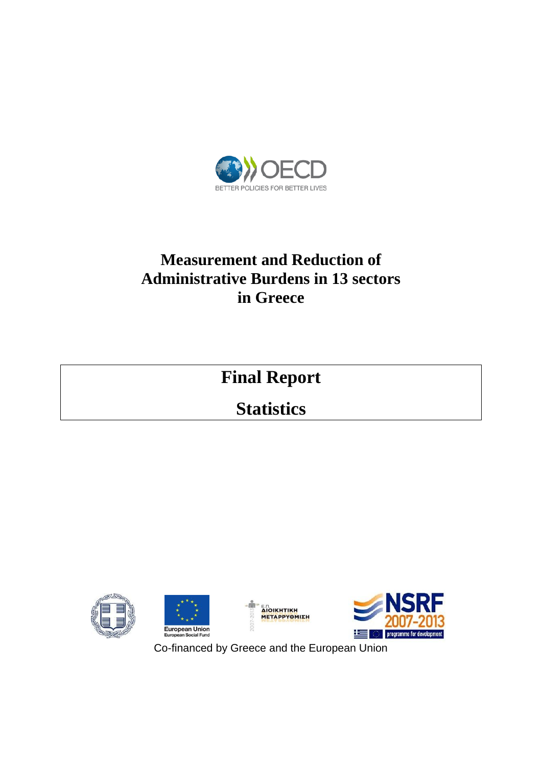

# **Measurement and Reduction of Administrative Burdens in 13 sectors in Greece**

**Final Report**

**Statistics**





Co-financed by Greece and the European Union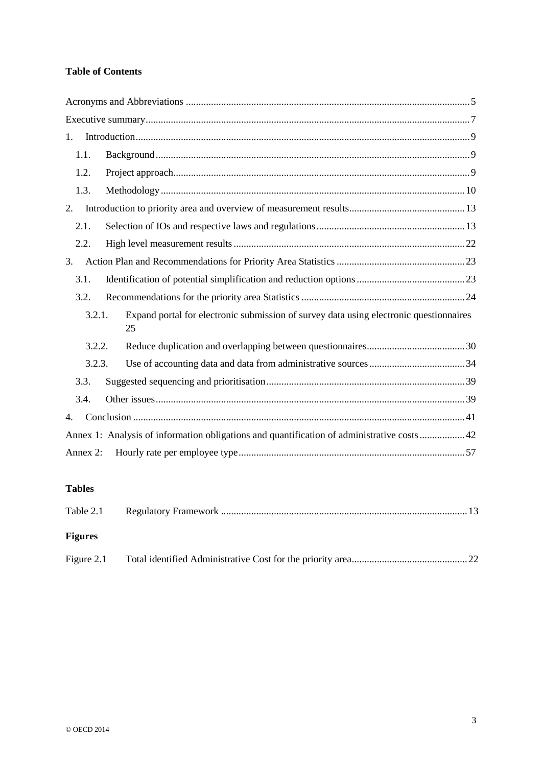# **Table of Contents**

| 1.            |                                                                                              |  |
|---------------|----------------------------------------------------------------------------------------------|--|
| 1.1.          |                                                                                              |  |
| 1.2.          |                                                                                              |  |
| 1.3.          |                                                                                              |  |
| 2.            |                                                                                              |  |
| 2.1.          |                                                                                              |  |
| 2.2.          |                                                                                              |  |
| 3.            |                                                                                              |  |
| 3.1.          |                                                                                              |  |
| 3.2.          |                                                                                              |  |
| 3.2.1.        | Expand portal for electronic submission of survey data using electronic questionnaires<br>25 |  |
| 3.2.2.        |                                                                                              |  |
| 3.2.3.        |                                                                                              |  |
| 3.3.          |                                                                                              |  |
| 3.4.          |                                                                                              |  |
| 4.            |                                                                                              |  |
|               | Annex 1: Analysis of information obligations and quantification of administrative costs  42  |  |
| Annex 2:      |                                                                                              |  |
|               |                                                                                              |  |
| <b>Tables</b> |                                                                                              |  |

| Table 2.1      |  |
|----------------|--|
| <b>Figures</b> |  |
|                |  |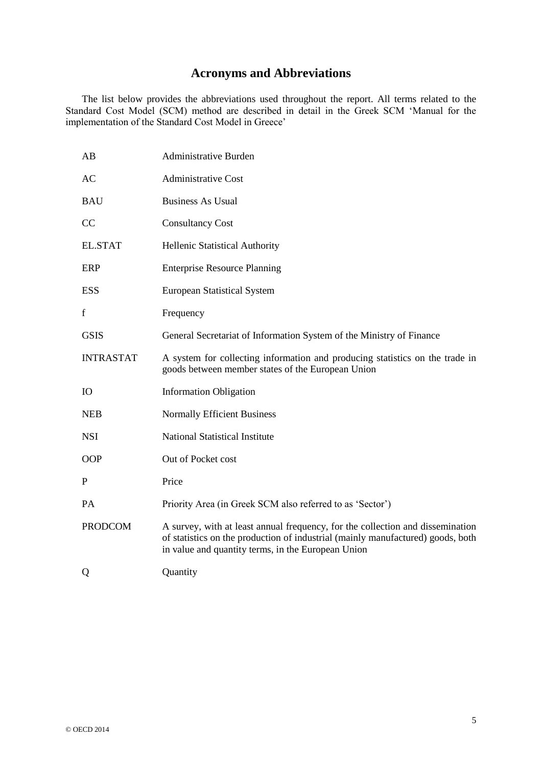# **Acronyms and Abbreviations**

<span id="page-4-0"></span>The list below provides the abbreviations used throughout the report. All terms related to the Standard Cost Model (SCM) method are described in detail in the Greek SCM 'Manual for the implementation of the Standard Cost Model in Greece'

| AB               | <b>Administrative Burden</b>                                                                                                                                                                                            |
|------------------|-------------------------------------------------------------------------------------------------------------------------------------------------------------------------------------------------------------------------|
| AC               | <b>Administrative Cost</b>                                                                                                                                                                                              |
| <b>BAU</b>       | <b>Business As Usual</b>                                                                                                                                                                                                |
| CC               | <b>Consultancy Cost</b>                                                                                                                                                                                                 |
| <b>EL.STAT</b>   | Hellenic Statistical Authority                                                                                                                                                                                          |
| <b>ERP</b>       | <b>Enterprise Resource Planning</b>                                                                                                                                                                                     |
| <b>ESS</b>       | <b>European Statistical System</b>                                                                                                                                                                                      |
| $\mathbf f$      | Frequency                                                                                                                                                                                                               |
| <b>GSIS</b>      | General Secretariat of Information System of the Ministry of Finance                                                                                                                                                    |
| <b>INTRASTAT</b> | A system for collecting information and producing statistics on the trade in<br>goods between member states of the European Union                                                                                       |
| IO               | <b>Information Obligation</b>                                                                                                                                                                                           |
| <b>NEB</b>       | <b>Normally Efficient Business</b>                                                                                                                                                                                      |
| <b>NSI</b>       | <b>National Statistical Institute</b>                                                                                                                                                                                   |
| <b>OOP</b>       | Out of Pocket cost                                                                                                                                                                                                      |
| $\mathbf{P}$     | Price                                                                                                                                                                                                                   |
| PA               | Priority Area (in Greek SCM also referred to as 'Sector')                                                                                                                                                               |
| <b>PRODCOM</b>   | A survey, with at least annual frequency, for the collection and dissemination<br>of statistics on the production of industrial (mainly manufactured) goods, both<br>in value and quantity terms, in the European Union |
| Q                | Quantity                                                                                                                                                                                                                |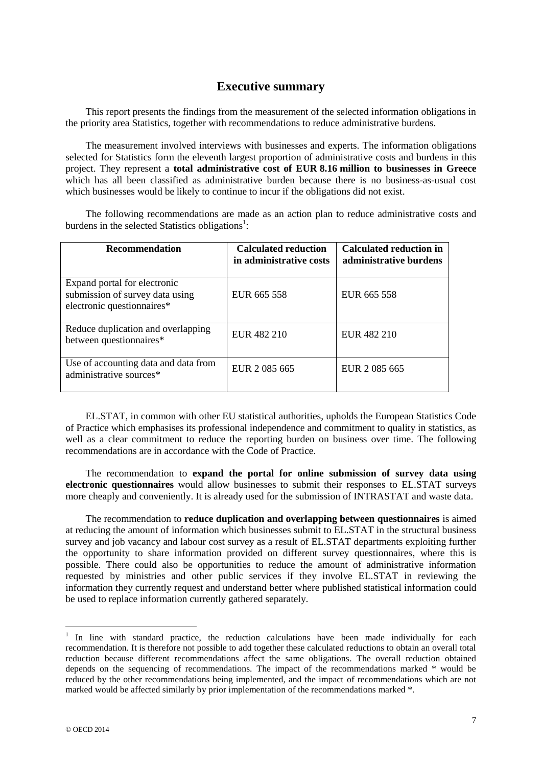## **Executive summary**

<span id="page-6-0"></span>This report presents the findings from the measurement of the selected information obligations in the priority area Statistics, together with recommendations to reduce administrative burdens.

The measurement involved interviews with businesses and experts. The information obligations selected for Statistics form the eleventh largest proportion of administrative costs and burdens in this project. They represent a **total administrative cost of EUR 8.16 million to businesses in Greece** which has all been classified as administrative burden because there is no business-as-usual cost which businesses would be likely to continue to incur if the obligations did not exist.

The following recommendations are made as an action plan to reduce administrative costs and burdens in the selected Statistics obligations<sup>1</sup>:

| <b>Recommendation</b>                                                                         | <b>Calculated reduction</b><br>in administrative costs | <b>Calculated reduction in</b><br>administrative burdens |
|-----------------------------------------------------------------------------------------------|--------------------------------------------------------|----------------------------------------------------------|
| Expand portal for electronic<br>submission of survey data using<br>electronic questionnaires* | EUR 665 558                                            | EUR 665 558                                              |
| Reduce duplication and overlapping<br>between questionnaires*                                 | EUR 482 210                                            | EUR 482 210                                              |
| Use of accounting data and data from<br>administrative sources*                               | EUR 2 085 665                                          | EUR 2 085 665                                            |

EL.STAT, in common with other EU statistical authorities, upholds the European Statistics Code of Practice which emphasises its professional independence and commitment to quality in statistics, as well as a clear commitment to reduce the reporting burden on business over time. The following recommendations are in accordance with the Code of Practice.

The recommendation to **expand the portal for online submission of survey data using electronic questionnaires** would allow businesses to submit their responses to EL.STAT surveys more cheaply and conveniently. It is already used for the submission of INTRASTAT and waste data.

The recommendation to **reduce duplication and overlapping between questionnaires** is aimed at reducing the amount of information which businesses submit to EL.STAT in the structural business survey and job vacancy and labour cost survey as a result of EL.STAT departments exploiting further the opportunity to share information provided on different survey questionnaires, where this is possible. There could also be opportunities to reduce the amount of administrative information requested by ministries and other public services if they involve EL.STAT in reviewing the information they currently request and understand better where published statistical information could be used to replace information currently gathered separately.

1

<sup>&</sup>lt;sup>1</sup> In line with standard practice, the reduction calculations have been made individually for each recommendation. It is therefore not possible to add together these calculated reductions to obtain an overall total reduction because different recommendations affect the same obligations. The overall reduction obtained depends on the sequencing of recommendations. The impact of the recommendations marked \* would be reduced by the other recommendations being implemented, and the impact of recommendations which are not marked would be affected similarly by prior implementation of the recommendations marked \*.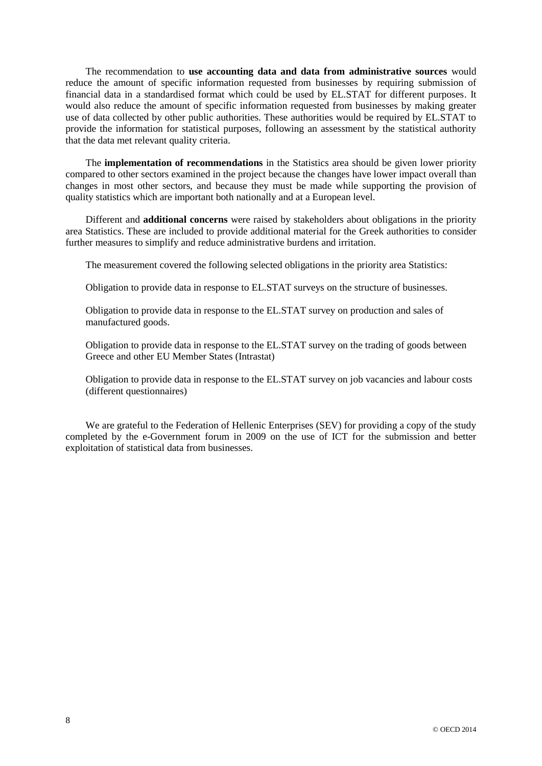The recommendation to **use accounting data and data from administrative sources** would reduce the amount of specific information requested from businesses by requiring submission of financial data in a standardised format which could be used by EL.STAT for different purposes. It would also reduce the amount of specific information requested from businesses by making greater use of data collected by other public authorities. These authorities would be required by EL.STAT to provide the information for statistical purposes, following an assessment by the statistical authority that the data met relevant quality criteria.

The **implementation of recommendations** in the Statistics area should be given lower priority compared to other sectors examined in the project because the changes have lower impact overall than changes in most other sectors, and because they must be made while supporting the provision of quality statistics which are important both nationally and at a European level.

Different and **additional concerns** were raised by stakeholders about obligations in the priority area Statistics. These are included to provide additional material for the Greek authorities to consider further measures to simplify and reduce administrative burdens and irritation.

The measurement covered the following selected obligations in the priority area Statistics:

Obligation to provide data in response to EL.STAT surveys on the structure of businesses.

Obligation to provide data in response to the EL.STAT survey on production and sales of manufactured goods.

Obligation to provide data in response to the EL.STAT survey on the trading of goods between Greece and other EU Member States (Intrastat)

Obligation to provide data in response to the EL.STAT survey on job vacancies and labour costs (different questionnaires)

We are grateful to the Federation of Hellenic Enterprises (SEV) for providing a copy of the study completed by the e-Government forum in 2009 on the use of ICT for the submission and better exploitation of statistical data from businesses.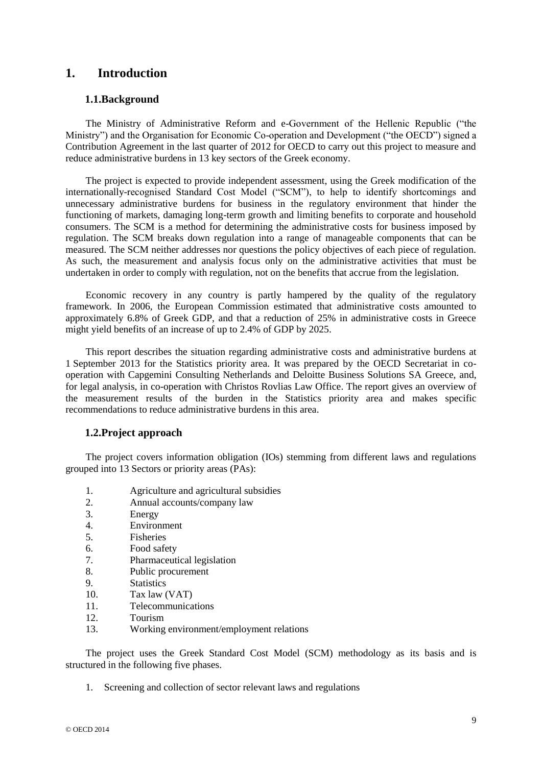# <span id="page-8-0"></span>**1. Introduction**

### <span id="page-8-1"></span>**1.1.Background**

The Ministry of Administrative Reform and e-Government of the Hellenic Republic ("the Ministry") and the Organisation for Economic Co-operation and Development ("the OECD") signed a Contribution Agreement in the last quarter of 2012 for OECD to carry out this project to measure and reduce administrative burdens in 13 key sectors of the Greek economy.

The project is expected to provide independent assessment, using the Greek modification of the internationally-recognised Standard Cost Model ("SCM"), to help to identify shortcomings and unnecessary administrative burdens for business in the regulatory environment that hinder the functioning of markets, damaging long-term growth and limiting benefits to corporate and household consumers. The SCM is a method for determining the administrative costs for business imposed by regulation. The SCM breaks down regulation into a range of manageable components that can be measured. The SCM neither addresses nor questions the policy objectives of each piece of regulation. As such, the measurement and analysis focus only on the administrative activities that must be undertaken in order to comply with regulation, not on the benefits that accrue from the legislation.

Economic recovery in any country is partly hampered by the quality of the regulatory framework. In 2006, the European Commission estimated that administrative costs amounted to approximately 6.8% of Greek GDP, and that a reduction of 25% in administrative costs in Greece might yield benefits of an increase of up to 2.4% of GDP by 2025.

This report describes the situation regarding administrative costs and administrative burdens at 1 September 2013 for the Statistics priority area. It was prepared by the OECD Secretariat in cooperation with Capgemini Consulting Netherlands and Deloitte Business Solutions SA Greece, and, for legal analysis, in co-operation with Christos Rovlias Law Office. The report gives an overview of the measurement results of the burden in the Statistics priority area and makes specific recommendations to reduce administrative burdens in this area.

### <span id="page-8-2"></span>**1.2.Project approach**

The project covers information obligation (IOs) stemming from different laws and regulations grouped into 13 Sectors or priority areas (PAs):

- 1. Agriculture and agricultural subsidies
- 2. Annual accounts/company law
- 3. Energy
- 4. Environment
- 5. Fisheries
- 6. Food safety
- 7. Pharmaceutical legislation
- 8. Public procurement
- 9. Statistics
- 10. Tax law (VAT)
- 11. Telecommunications
- 12. Tourism
- 13. Working environment/employment relations

The project uses the Greek Standard Cost Model (SCM) methodology as its basis and is structured in the following five phases.

1. Screening and collection of sector relevant laws and regulations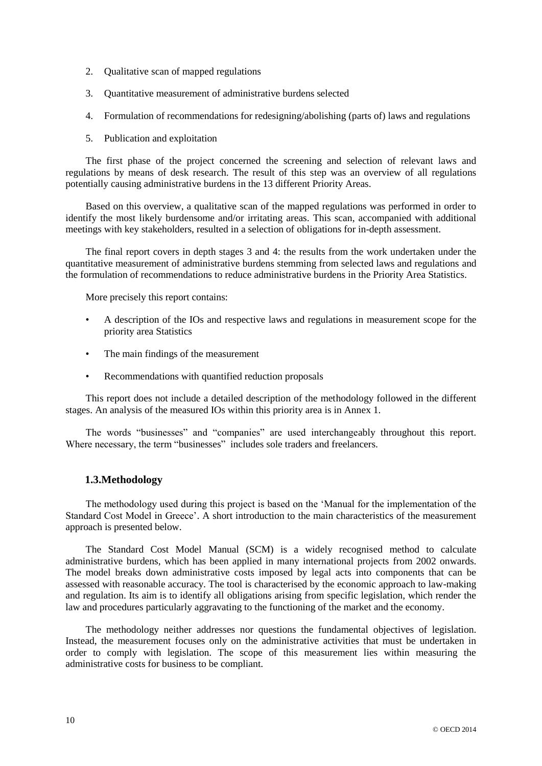- 2. Qualitative scan of mapped regulations
- 3. Quantitative measurement of administrative burdens selected
- 4. Formulation of recommendations for redesigning/abolishing (parts of) laws and regulations
- 5. Publication and exploitation

The first phase of the project concerned the screening and selection of relevant laws and regulations by means of desk research. The result of this step was an overview of all regulations potentially causing administrative burdens in the 13 different Priority Areas.

Based on this overview, a qualitative scan of the mapped regulations was performed in order to identify the most likely burdensome and/or irritating areas. This scan, accompanied with additional meetings with key stakeholders, resulted in a selection of obligations for in-depth assessment.

The final report covers in depth stages 3 and 4: the results from the work undertaken under the quantitative measurement of administrative burdens stemming from selected laws and regulations and the formulation of recommendations to reduce administrative burdens in the Priority Area Statistics.

More precisely this report contains:

- A description of the IOs and respective laws and regulations in measurement scope for the priority area Statistics
- The main findings of the measurement
- Recommendations with quantified reduction proposals

This report does not include a detailed description of the methodology followed in the different stages. An analysis of the measured IOs within this priority area is in Annex 1.

The words "businesses" and "companies" are used interchangeably throughout this report. Where necessary, the term "businesses" includes sole traders and freelancers.

### <span id="page-9-0"></span>**1.3.Methodology**

The methodology used during this project is based on the 'Manual for the implementation of the Standard Cost Model in Greece'. A short introduction to the main characteristics of the measurement approach is presented below.

The Standard Cost Model Manual (SCM) is a widely recognised method to calculate administrative burdens, which has been applied in many international projects from 2002 onwards. The model breaks down administrative costs imposed by legal acts into components that can be assessed with reasonable accuracy. The tool is characterised by the economic approach to law-making and regulation. Its aim is to identify all obligations arising from specific legislation, which render the law and procedures particularly aggravating to the functioning of the market and the economy.

The methodology neither addresses nor questions the fundamental objectives of legislation. Instead, the measurement focuses only on the administrative activities that must be undertaken in order to comply with legislation. The scope of this measurement lies within measuring the administrative costs for business to be compliant.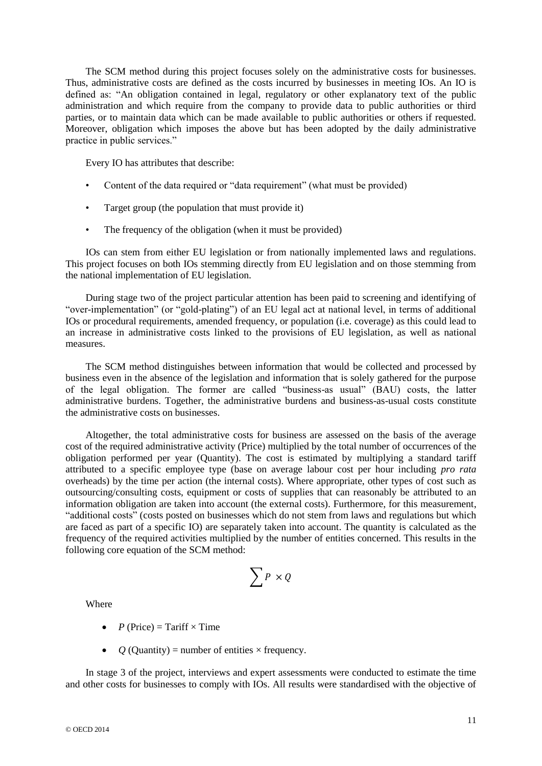The SCM method during this project focuses solely on the administrative costs for businesses. Thus, administrative costs are defined as the costs incurred by businesses in meeting IOs. An IO is defined as: "An obligation contained in legal, regulatory or other explanatory text of the public administration and which require from the company to provide data to public authorities or third parties, or to maintain data which can be made available to public authorities or others if requested. Moreover, obligation which imposes the above but has been adopted by the daily administrative practice in public services."

Every IO has attributes that describe:

- Content of the data required or "data requirement" (what must be provided)
- Target group (the population that must provide it)
- The frequency of the obligation (when it must be provided)

IOs can stem from either EU legislation or from nationally implemented laws and regulations. This project focuses on both IOs stemming directly from EU legislation and on those stemming from the national implementation of EU legislation.

During stage two of the project particular attention has been paid to screening and identifying of "over-implementation" (or "gold-plating") of an EU legal act at national level, in terms of additional IOs or procedural requirements, amended frequency, or population (i.e. coverage) as this could lead to an increase in administrative costs linked to the provisions of EU legislation, as well as national measures.

The SCM method distinguishes between information that would be collected and processed by business even in the absence of the legislation and information that is solely gathered for the purpose of the legal obligation. The former are called "business-as usual" (BAU) costs, the latter administrative burdens. Together, the administrative burdens and business-as-usual costs constitute the administrative costs on businesses.

Altogether, the total administrative costs for business are assessed on the basis of the average cost of the required administrative activity (Price) multiplied by the total number of occurrences of the obligation performed per year (Quantity). The cost is estimated by multiplying a standard tariff attributed to a specific employee type (base on average labour cost per hour including *pro rata* overheads) by the time per action (the internal costs). Where appropriate, other types of cost such as outsourcing/consulting costs, equipment or costs of supplies that can reasonably be attributed to an information obligation are taken into account (the external costs). Furthermore, for this measurement, "additional costs" (costs posted on businesses which do not stem from laws and regulations but which are faced as part of a specific IO) are separately taken into account. The quantity is calculated as the frequency of the required activities multiplied by the number of entities concerned. This results in the following core equation of the SCM method:

$$
\sum P \times Q
$$

**Where** 

- $P$  (Price) = Tariff  $\times$  Time
- $Q$  (Quantity) = number of entities  $\times$  frequency.

In stage 3 of the project, interviews and expert assessments were conducted to estimate the time and other costs for businesses to comply with IOs. All results were standardised with the objective of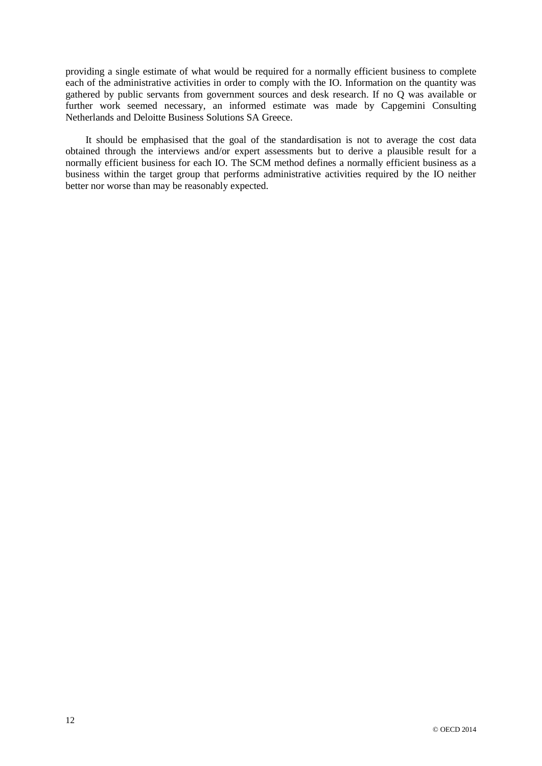providing a single estimate of what would be required for a normally efficient business to complete each of the administrative activities in order to comply with the IO. Information on the quantity was gathered by public servants from government sources and desk research. If no Q was available or further work seemed necessary, an informed estimate was made by Capgemini Consulting Netherlands and Deloitte Business Solutions SA Greece.

It should be emphasised that the goal of the standardisation is not to average the cost data obtained through the interviews and/or expert assessments but to derive a plausible result for a normally efficient business for each IO. The SCM method defines a normally efficient business as a business within the target group that performs administrative activities required by the IO neither better nor worse than may be reasonably expected.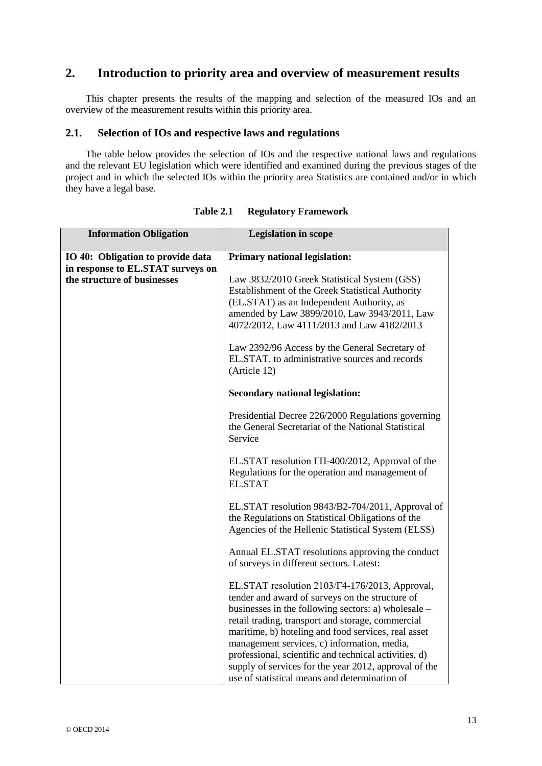# <span id="page-12-0"></span>**2. Introduction to priority area and overview of measurement results**

This chapter presents the results of the mapping and selection of the measured IOs and an overview of the measurement results within this priority area.

### <span id="page-12-1"></span>**2.1. Selection of IOs and respective laws and regulations**

The table below provides the selection of IOs and the respective national laws and regulations and the relevant EU legislation which were identified and examined during the previous stages of the project and in which the selected IOs within the priority area Statistics are contained and/or in which they have a legal base.

<span id="page-12-2"></span>

| <b>Information Obligation</b>                                    | <b>Legislation in scope</b>                                                                                                                                                                                                                                                                                                                                                                                                                                                            |
|------------------------------------------------------------------|----------------------------------------------------------------------------------------------------------------------------------------------------------------------------------------------------------------------------------------------------------------------------------------------------------------------------------------------------------------------------------------------------------------------------------------------------------------------------------------|
| IO 40: Obligation to provide data                                | <b>Primary national legislation:</b>                                                                                                                                                                                                                                                                                                                                                                                                                                                   |
| in response to EL.STAT surveys on<br>the structure of businesses | Law 3832/2010 Greek Statistical System (GSS)<br>Establishment of the Greek Statistical Authority<br>(EL.STAT) as an Independent Authority, as<br>amended by Law 3899/2010, Law 3943/2011, Law<br>4072/2012, Law 4111/2013 and Law 4182/2013                                                                                                                                                                                                                                            |
|                                                                  | Law 2392/96 Access by the General Secretary of<br>EL.STAT. to administrative sources and records<br>(Article 12)                                                                                                                                                                                                                                                                                                                                                                       |
|                                                                  | <b>Secondary national legislation:</b>                                                                                                                                                                                                                                                                                                                                                                                                                                                 |
|                                                                  | Presidential Decree 226/2000 Regulations governing<br>the General Secretariat of the National Statistical<br>Service                                                                                                                                                                                                                                                                                                                                                                   |
|                                                                  | EL.STAT resolution $\Gamma$ II-400/2012, Approval of the<br>Regulations for the operation and management of<br><b>EL.STAT</b>                                                                                                                                                                                                                                                                                                                                                          |
|                                                                  | EL.STAT resolution 9843/B2-704/2011, Approval of<br>the Regulations on Statistical Obligations of the<br>Agencies of the Hellenic Statistical System (ELSS)                                                                                                                                                                                                                                                                                                                            |
|                                                                  | Annual EL.STAT resolutions approving the conduct<br>of surveys in different sectors. Latest:                                                                                                                                                                                                                                                                                                                                                                                           |
|                                                                  | EL.STAT resolution 2103/T4-176/2013, Approval,<br>tender and award of surveys on the structure of<br>businesses in the following sectors: a) wholesale –<br>retail trading, transport and storage, commercial<br>maritime, b) hoteling and food services, real asset<br>management services, c) information, media,<br>professional, scientific and technical activities, d)<br>supply of services for the year 2012, approval of the<br>use of statistical means and determination of |

**Table 2.1 Regulatory Framework**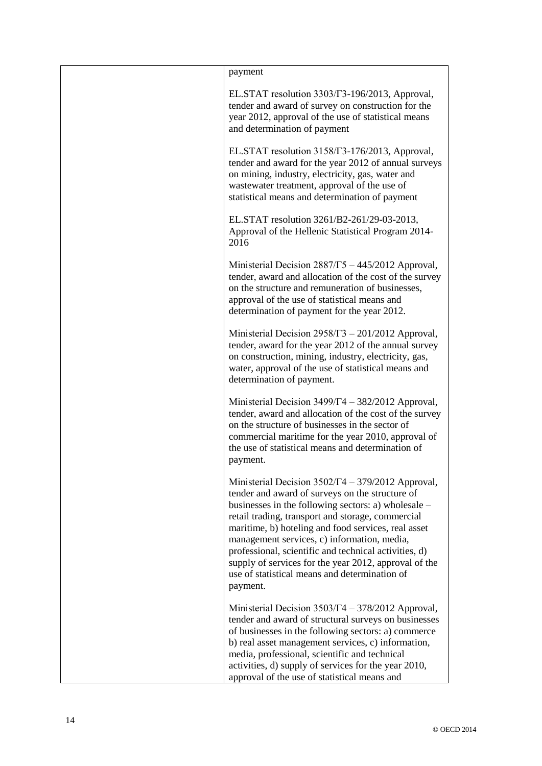| payment                                                                                                                                                                                                                                                                                                                                                                                                                                                                                                      |
|--------------------------------------------------------------------------------------------------------------------------------------------------------------------------------------------------------------------------------------------------------------------------------------------------------------------------------------------------------------------------------------------------------------------------------------------------------------------------------------------------------------|
| EL.STAT resolution 3303/T3-196/2013, Approval,<br>tender and award of survey on construction for the<br>year 2012, approval of the use of statistical means<br>and determination of payment                                                                                                                                                                                                                                                                                                                  |
| EL.STAT resolution 3158/17-176/2013, Approval,<br>tender and award for the year 2012 of annual surveys<br>on mining, industry, electricity, gas, water and<br>wastewater treatment, approval of the use of<br>statistical means and determination of payment                                                                                                                                                                                                                                                 |
| EL.STAT resolution 3261/B2-261/29-03-2013,<br>Approval of the Hellenic Statistical Program 2014-<br>2016                                                                                                                                                                                                                                                                                                                                                                                                     |
| Ministerial Decision $2887/\Gamma$ 5 - 445/2012 Approval,<br>tender, award and allocation of the cost of the survey<br>on the structure and remuneration of businesses,<br>approval of the use of statistical means and<br>determination of payment for the year 2012.                                                                                                                                                                                                                                       |
| Ministerial Decision $2958/\Gamma$ 3 - $201/2012$ Approval,<br>tender, award for the year 2012 of the annual survey<br>on construction, mining, industry, electricity, gas,<br>water, approval of the use of statistical means and<br>determination of payment.                                                                                                                                                                                                                                              |
| Ministerial Decision $3499/\Gamma4 - 382/2012$ Approval,<br>tender, award and allocation of the cost of the survey<br>on the structure of businesses in the sector of<br>commercial maritime for the year 2010, approval of<br>the use of statistical means and determination of<br>payment.                                                                                                                                                                                                                 |
| Ministerial Decision $3502/\Gamma4 - 379/2012$ Approval,<br>tender and award of surveys on the structure of<br>businesses in the following sectors: a) wholesale -<br>retail trading, transport and storage, commercial<br>maritime, b) hoteling and food services, real asset<br>management services, c) information, media,<br>professional, scientific and technical activities, d)<br>supply of services for the year 2012, approval of the<br>use of statistical means and determination of<br>payment. |
| Ministerial Decision $3503/\Gamma$ 4 - 378/2012 Approval,<br>tender and award of structural surveys on businesses<br>of businesses in the following sectors: a) commerce<br>b) real asset management services, c) information,<br>media, professional, scientific and technical<br>activities, d) supply of services for the year 2010,<br>approval of the use of statistical means and                                                                                                                      |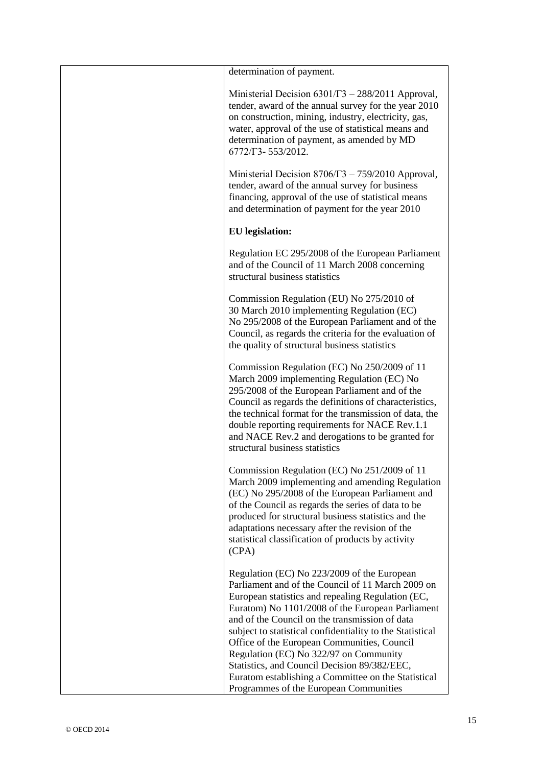| determination of payment.                                                                                                                                                                                                                                                                                                                                                                                                                                                                                                                                          |
|--------------------------------------------------------------------------------------------------------------------------------------------------------------------------------------------------------------------------------------------------------------------------------------------------------------------------------------------------------------------------------------------------------------------------------------------------------------------------------------------------------------------------------------------------------------------|
| Ministerial Decision $6301/\Gamma$ 3 - 288/2011 Approval,<br>tender, award of the annual survey for the year 2010<br>on construction, mining, industry, electricity, gas,<br>water, approval of the use of statistical means and<br>determination of payment, as amended by MD<br>6772/ $\Gamma$ 3-553/2012.                                                                                                                                                                                                                                                       |
| Ministerial Decision $8706/\Gamma$ 3 - 759/2010 Approval,<br>tender, award of the annual survey for business<br>financing, approval of the use of statistical means<br>and determination of payment for the year 2010                                                                                                                                                                                                                                                                                                                                              |
| <b>EU</b> legislation:                                                                                                                                                                                                                                                                                                                                                                                                                                                                                                                                             |
| Regulation EC 295/2008 of the European Parliament<br>and of the Council of 11 March 2008 concerning<br>structural business statistics                                                                                                                                                                                                                                                                                                                                                                                                                              |
| Commission Regulation (EU) No 275/2010 of<br>30 March 2010 implementing Regulation (EC)<br>No 295/2008 of the European Parliament and of the<br>Council, as regards the criteria for the evaluation of<br>the quality of structural business statistics                                                                                                                                                                                                                                                                                                            |
| Commission Regulation (EC) No 250/2009 of 11<br>March 2009 implementing Regulation (EC) No<br>295/2008 of the European Parliament and of the<br>Council as regards the definitions of characteristics,<br>the technical format for the transmission of data, the<br>double reporting requirements for NACE Rev.1.1<br>and NACE Rev.2 and derogations to be granted for<br>structural business statistics                                                                                                                                                           |
| Commission Regulation (EC) No 251/2009 of 11<br>March 2009 implementing and amending Regulation<br>(EC) No 295/2008 of the European Parliament and<br>of the Council as regards the series of data to be<br>produced for structural business statistics and the<br>adaptations necessary after the revision of the<br>statistical classification of products by activity<br>(CPA)                                                                                                                                                                                  |
| Regulation (EC) No 223/2009 of the European<br>Parliament and of the Council of 11 March 2009 on<br>European statistics and repealing Regulation (EC,<br>Euratom) No 1101/2008 of the European Parliament<br>and of the Council on the transmission of data<br>subject to statistical confidentiality to the Statistical<br>Office of the European Communities, Council<br>Regulation (EC) No 322/97 on Community<br>Statistics, and Council Decision 89/382/EEC,<br>Euratom establishing a Committee on the Statistical<br>Programmes of the European Communities |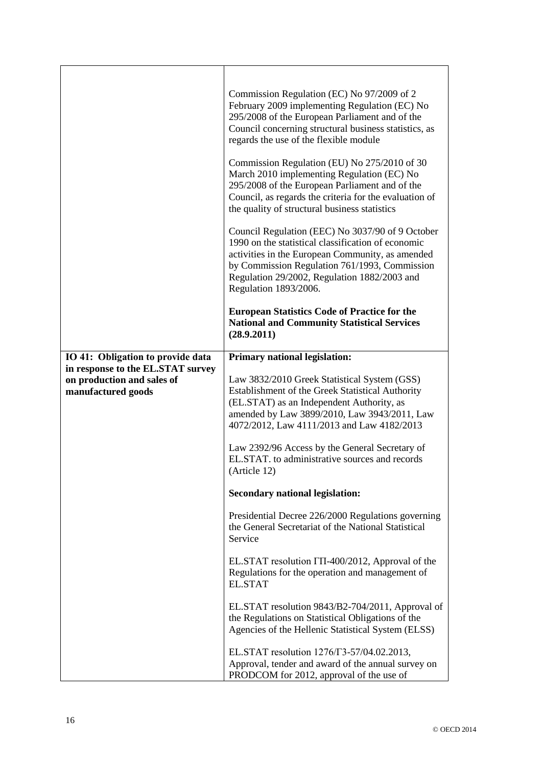|                                                                                       | Commission Regulation (EC) No 97/2009 of 2<br>February 2009 implementing Regulation (EC) No<br>295/2008 of the European Parliament and of the<br>Council concerning structural business statistics, as<br>regards the use of the flexible module                                     |
|---------------------------------------------------------------------------------------|--------------------------------------------------------------------------------------------------------------------------------------------------------------------------------------------------------------------------------------------------------------------------------------|
|                                                                                       | Commission Regulation (EU) No 275/2010 of 30<br>March 2010 implementing Regulation (EC) No<br>295/2008 of the European Parliament and of the<br>Council, as regards the criteria for the evaluation of<br>the quality of structural business statistics                              |
|                                                                                       | Council Regulation (EEC) No 3037/90 of 9 October<br>1990 on the statistical classification of economic<br>activities in the European Community, as amended<br>by Commission Regulation 761/1993, Commission<br>Regulation 29/2002, Regulation 1882/2003 and<br>Regulation 1893/2006. |
|                                                                                       | <b>European Statistics Code of Practice for the</b><br><b>National and Community Statistical Services</b><br>(28.9.2011)                                                                                                                                                             |
| IO 41: Obligation to provide data                                                     | <b>Primary national legislation:</b>                                                                                                                                                                                                                                                 |
| in response to the EL.STAT survey<br>on production and sales of<br>manufactured goods | Law 3832/2010 Greek Statistical System (GSS)<br>Establishment of the Greek Statistical Authority<br>(EL.STAT) as an Independent Authority, as<br>amended by Law 3899/2010, Law 3943/2011, Law<br>4072/2012, Law 4111/2013 and Law 4182/2013                                          |
|                                                                                       | Law 2392/96 Access by the General Secretary of<br>EL.STAT. to administrative sources and records<br>(Article 12)                                                                                                                                                                     |
|                                                                                       | <b>Secondary national legislation:</b>                                                                                                                                                                                                                                               |
|                                                                                       | Presidential Decree 226/2000 Regulations governing<br>the General Secretariat of the National Statistical<br>Service                                                                                                                                                                 |
|                                                                                       | EL.STAT resolution $\Gamma$ II-400/2012, Approval of the<br>Regulations for the operation and management of<br><b>EL.STAT</b>                                                                                                                                                        |
|                                                                                       | EL.STAT resolution 9843/B2-704/2011, Approval of<br>the Regulations on Statistical Obligations of the<br>Agencies of the Hellenic Statistical System (ELSS)                                                                                                                          |
|                                                                                       |                                                                                                                                                                                                                                                                                      |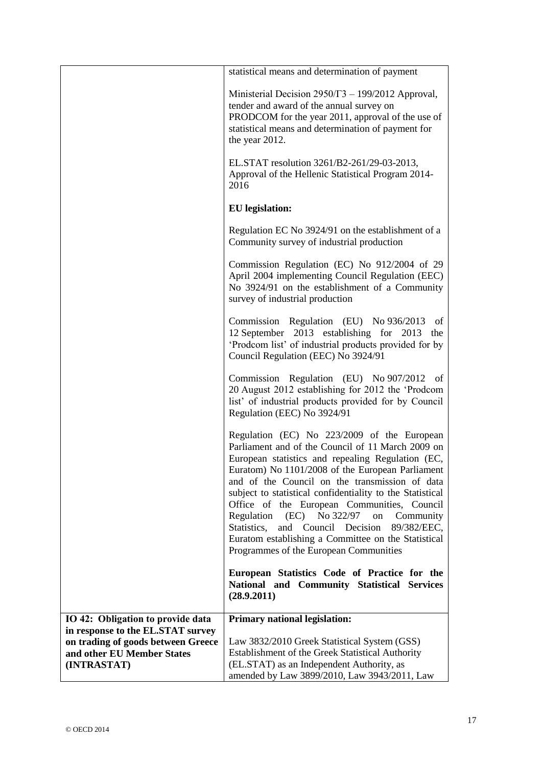|                                                                         | statistical means and determination of payment                                                                                                                                                                                                                                                                                                                                                                                                                                                                                                                                    |
|-------------------------------------------------------------------------|-----------------------------------------------------------------------------------------------------------------------------------------------------------------------------------------------------------------------------------------------------------------------------------------------------------------------------------------------------------------------------------------------------------------------------------------------------------------------------------------------------------------------------------------------------------------------------------|
|                                                                         | Ministerial Decision $2950/\Gamma$ 3 - 199/2012 Approval,<br>tender and award of the annual survey on<br>PRODCOM for the year 2011, approval of the use of<br>statistical means and determination of payment for<br>the year 2012.<br>EL.STAT resolution 3261/B2-261/29-03-2013,                                                                                                                                                                                                                                                                                                  |
|                                                                         | Approval of the Hellenic Statistical Program 2014-<br>2016                                                                                                                                                                                                                                                                                                                                                                                                                                                                                                                        |
|                                                                         | <b>EU</b> legislation:                                                                                                                                                                                                                                                                                                                                                                                                                                                                                                                                                            |
|                                                                         | Regulation EC No 3924/91 on the establishment of a<br>Community survey of industrial production                                                                                                                                                                                                                                                                                                                                                                                                                                                                                   |
|                                                                         | Commission Regulation (EC) No 912/2004 of 29<br>April 2004 implementing Council Regulation (EEC)<br>No 3924/91 on the establishment of a Community<br>survey of industrial production                                                                                                                                                                                                                                                                                                                                                                                             |
|                                                                         | Commission Regulation (EU) No 936/2013<br>of<br>12 September 2013 establishing for 2013<br>the<br>'Prodcom list' of industrial products provided for by<br>Council Regulation (EEC) No 3924/91                                                                                                                                                                                                                                                                                                                                                                                    |
|                                                                         | Commission Regulation (EU) No 907/2012 of<br>20 August 2012 establishing for 2012 the 'Prodcom<br>list' of industrial products provided for by Council<br>Regulation (EEC) No 3924/91                                                                                                                                                                                                                                                                                                                                                                                             |
|                                                                         | Regulation (EC) No 223/2009 of the European<br>Parliament and of the Council of 11 March 2009 on<br>European statistics and repealing Regulation (EC,<br>Euratom) No 1101/2008 of the European Parliament<br>and of the Council on the transmission of data<br>subject to statistical confidentiality to the Statistical<br>Office of the European Communities, Council<br>(EC) No 322/97<br>Regulation<br>Community<br>on<br>Statistics,<br>and Council Decision<br>89/382/EEC,<br>Euratom establishing a Committee on the Statistical<br>Programmes of the European Communities |
|                                                                         | European Statistics Code of Practice for the<br>National and Community Statistical Services<br>(28.9.2011)                                                                                                                                                                                                                                                                                                                                                                                                                                                                        |
| IO 42: Obligation to provide data                                       | <b>Primary national legislation:</b>                                                                                                                                                                                                                                                                                                                                                                                                                                                                                                                                              |
| in response to the EL.STAT survey<br>on trading of goods between Greece | Law 3832/2010 Greek Statistical System (GSS)                                                                                                                                                                                                                                                                                                                                                                                                                                                                                                                                      |
| and other EU Member States                                              | Establishment of the Greek Statistical Authority                                                                                                                                                                                                                                                                                                                                                                                                                                                                                                                                  |
| (INTRASTAT)                                                             | (EL.STAT) as an Independent Authority, as<br>amended by Law 3899/2010, Law 3943/2011, Law                                                                                                                                                                                                                                                                                                                                                                                                                                                                                         |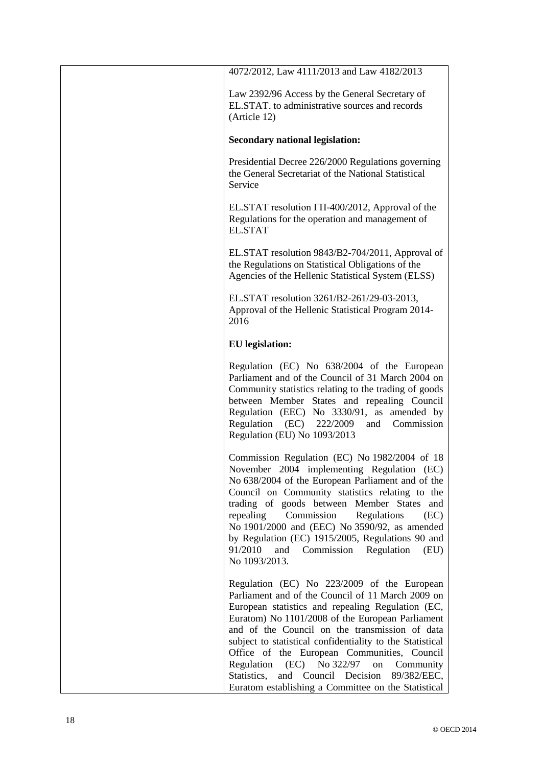| 4072/2012, Law 4111/2013 and Law 4182/2013                                                                                                                                                                                                                                                                                                                                                                                                                                                                                                 |
|--------------------------------------------------------------------------------------------------------------------------------------------------------------------------------------------------------------------------------------------------------------------------------------------------------------------------------------------------------------------------------------------------------------------------------------------------------------------------------------------------------------------------------------------|
| Law 2392/96 Access by the General Secretary of<br>EL.STAT. to administrative sources and records<br>(Article 12)                                                                                                                                                                                                                                                                                                                                                                                                                           |
| <b>Secondary national legislation:</b>                                                                                                                                                                                                                                                                                                                                                                                                                                                                                                     |
| Presidential Decree 226/2000 Regulations governing<br>the General Secretariat of the National Statistical<br>Service                                                                                                                                                                                                                                                                                                                                                                                                                       |
| EL.STAT resolution $\Gamma$ II-400/2012, Approval of the<br>Regulations for the operation and management of<br><b>EL.STAT</b>                                                                                                                                                                                                                                                                                                                                                                                                              |
| EL.STAT resolution 9843/B2-704/2011, Approval of<br>the Regulations on Statistical Obligations of the<br>Agencies of the Hellenic Statistical System (ELSS)                                                                                                                                                                                                                                                                                                                                                                                |
| EL.STAT resolution 3261/B2-261/29-03-2013,<br>Approval of the Hellenic Statistical Program 2014-<br>2016                                                                                                                                                                                                                                                                                                                                                                                                                                   |
| <b>EU</b> legislation:                                                                                                                                                                                                                                                                                                                                                                                                                                                                                                                     |
| Regulation (EC) No 638/2004 of the European<br>Parliament and of the Council of 31 March 2004 on<br>Community statistics relating to the trading of goods<br>between Member States and repealing Council<br>Regulation (EEC) No 3330/91, as amended by<br>Regulation<br>(EC)<br>222/2009<br>Commission<br>and<br>Regulation (EU) No 1093/2013                                                                                                                                                                                              |
| Commission Regulation (EC) No 1982/2004 of 18<br>November 2004 implementing Regulation (EC)<br>No 638/2004 of the European Parliament and of the<br>Council on Community statistics relating to the<br>trading of goods between Member States and<br>Commission Regulations<br>repealing<br>(EC)<br>No 1901/2000 and (EEC) No 3590/92, as amended<br>by Regulation (EC) 1915/2005, Regulations 90 and<br>91/2010<br>Commission<br>and<br>Regulation<br>(EU)<br>No 1093/2013.                                                               |
| Regulation (EC) No 223/2009 of the European<br>Parliament and of the Council of 11 March 2009 on<br>European statistics and repealing Regulation (EC,<br>Euratom) No 1101/2008 of the European Parliament<br>and of the Council on the transmission of data<br>subject to statistical confidentiality to the Statistical<br>Office of the European Communities, Council<br>Regulation<br>(EC)<br>No 322/97<br>on<br>Community<br>Statistics,<br>and Council Decision<br>89/382/EEC,<br>Euratom establishing a Committee on the Statistical |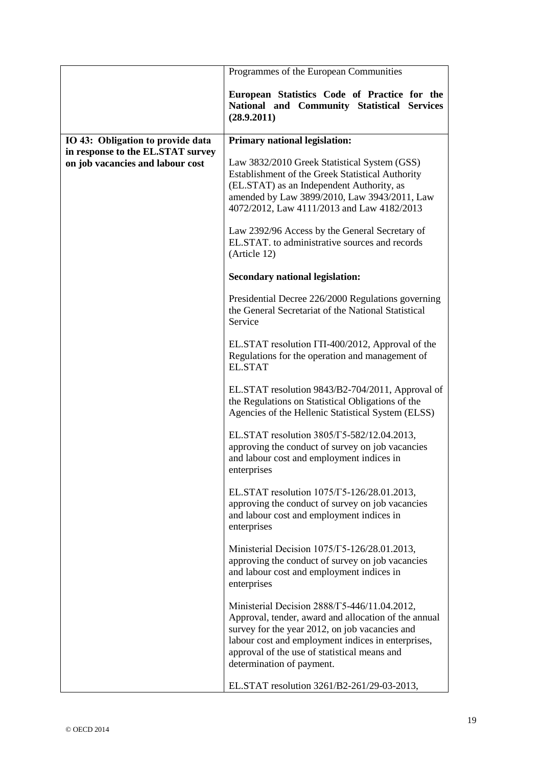|                                                                       | Programmes of the European Communities                                                                                                                                                                                                                                                    |
|-----------------------------------------------------------------------|-------------------------------------------------------------------------------------------------------------------------------------------------------------------------------------------------------------------------------------------------------------------------------------------|
|                                                                       | European Statistics Code of Practice for the<br>National and Community Statistical Services<br>(28.9.2011)                                                                                                                                                                                |
| IO 43: Obligation to provide data                                     | <b>Primary national legislation:</b>                                                                                                                                                                                                                                                      |
| in response to the EL.STAT survey<br>on job vacancies and labour cost | Law 3832/2010 Greek Statistical System (GSS)<br>Establishment of the Greek Statistical Authority<br>(EL.STAT) as an Independent Authority, as<br>amended by Law 3899/2010, Law 3943/2011, Law<br>4072/2012, Law 4111/2013 and Law 4182/2013                                               |
|                                                                       | Law 2392/96 Access by the General Secretary of<br>EL.STAT. to administrative sources and records<br>(Article 12)                                                                                                                                                                          |
|                                                                       | <b>Secondary national legislation:</b>                                                                                                                                                                                                                                                    |
|                                                                       | Presidential Decree 226/2000 Regulations governing<br>the General Secretariat of the National Statistical<br>Service                                                                                                                                                                      |
|                                                                       | EL.STAT resolution $\Gamma$ II-400/2012, Approval of the<br>Regulations for the operation and management of<br><b>EL.STAT</b>                                                                                                                                                             |
|                                                                       | EL.STAT resolution 9843/B2-704/2011, Approval of<br>the Regulations on Statistical Obligations of the<br>Agencies of the Hellenic Statistical System (ELSS)                                                                                                                               |
|                                                                       | EL.STAT resolution 3805/T5-582/12.04.2013,<br>approving the conduct of survey on job vacancies<br>and labour cost and employment indices in<br>enterprises                                                                                                                                |
|                                                                       | EL.STAT resolution 1075/ $\Gamma$ 5-126/28.01.2013,<br>approving the conduct of survey on job vacancies<br>and labour cost and employment indices in<br>enterprises                                                                                                                       |
|                                                                       | Ministerial Decision 1075/F5-126/28.01.2013,<br>approving the conduct of survey on job vacancies<br>and labour cost and employment indices in<br>enterprises                                                                                                                              |
|                                                                       | Ministerial Decision 2888/T5-446/11.04.2012,<br>Approval, tender, award and allocation of the annual<br>survey for the year 2012, on job vacancies and<br>labour cost and employment indices in enterprises,<br>approval of the use of statistical means and<br>determination of payment. |
|                                                                       | EL.STAT resolution 3261/B2-261/29-03-2013,                                                                                                                                                                                                                                                |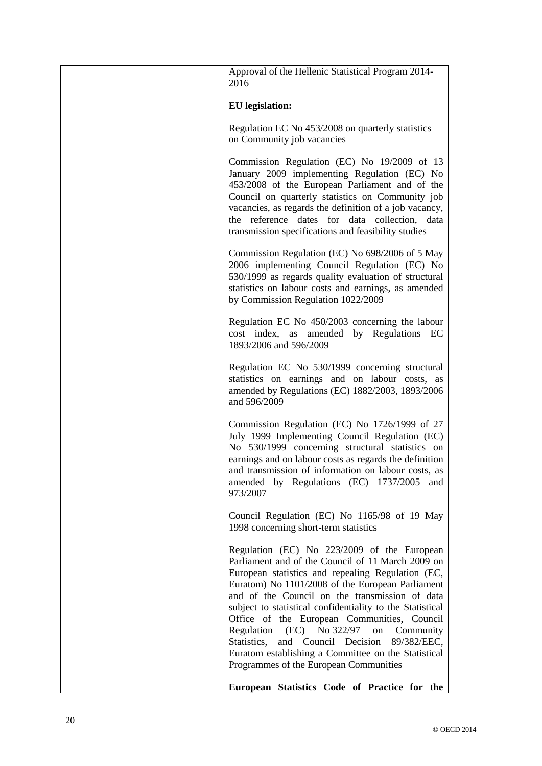| Approval of the Hellenic Statistical Program 2014-<br>2016                                                                                                                                                                                                                                                                                                                                                                                                                                                                                                                       |
|----------------------------------------------------------------------------------------------------------------------------------------------------------------------------------------------------------------------------------------------------------------------------------------------------------------------------------------------------------------------------------------------------------------------------------------------------------------------------------------------------------------------------------------------------------------------------------|
| <b>EU</b> legislation:                                                                                                                                                                                                                                                                                                                                                                                                                                                                                                                                                           |
| Regulation EC No 453/2008 on quarterly statistics<br>on Community job vacancies                                                                                                                                                                                                                                                                                                                                                                                                                                                                                                  |
| Commission Regulation (EC) No 19/2009 of 13<br>January 2009 implementing Regulation (EC) No<br>453/2008 of the European Parliament and of the<br>Council on quarterly statistics on Community job<br>vacancies, as regards the definition of a job vacancy,<br>the reference dates for data collection, data<br>transmission specifications and feasibility studies                                                                                                                                                                                                              |
| Commission Regulation (EC) No 698/2006 of 5 May<br>2006 implementing Council Regulation (EC) No<br>530/1999 as regards quality evaluation of structural<br>statistics on labour costs and earnings, as amended<br>by Commission Regulation 1022/2009                                                                                                                                                                                                                                                                                                                             |
| Regulation EC No 450/2003 concerning the labour<br>cost index, as amended by Regulations EC<br>1893/2006 and 596/2009                                                                                                                                                                                                                                                                                                                                                                                                                                                            |
| Regulation EC No 530/1999 concerning structural<br>statistics on earnings and on labour costs, as<br>amended by Regulations (EC) 1882/2003, 1893/2006<br>and 596/2009                                                                                                                                                                                                                                                                                                                                                                                                            |
| Commission Regulation (EC) No 1726/1999 of 27<br>July 1999 Implementing Council Regulation (EC)<br>No 530/1999 concerning structural statistics on<br>earnings and on labour costs as regards the definition<br>and transmission of information on labour costs, as<br>amended by Regulations (EC) 1737/2005<br>and<br>973/2007                                                                                                                                                                                                                                                  |
| Council Regulation (EC) No 1165/98 of 19 May<br>1998 concerning short-term statistics                                                                                                                                                                                                                                                                                                                                                                                                                                                                                            |
| Regulation (EC) No 223/2009 of the European<br>Parliament and of the Council of 11 March 2009 on<br>European statistics and repealing Regulation (EC,<br>Euratom) No 1101/2008 of the European Parliament<br>and of the Council on the transmission of data<br>subject to statistical confidentiality to the Statistical<br>Office of the European Communities, Council<br>Regulation<br>$(EC)$ No 322/97 on<br>Community<br>Statistics,<br>and Council Decision<br>89/382/EEC,<br>Euratom establishing a Committee on the Statistical<br>Programmes of the European Communities |
| European Statistics Code of Practice for the                                                                                                                                                                                                                                                                                                                                                                                                                                                                                                                                     |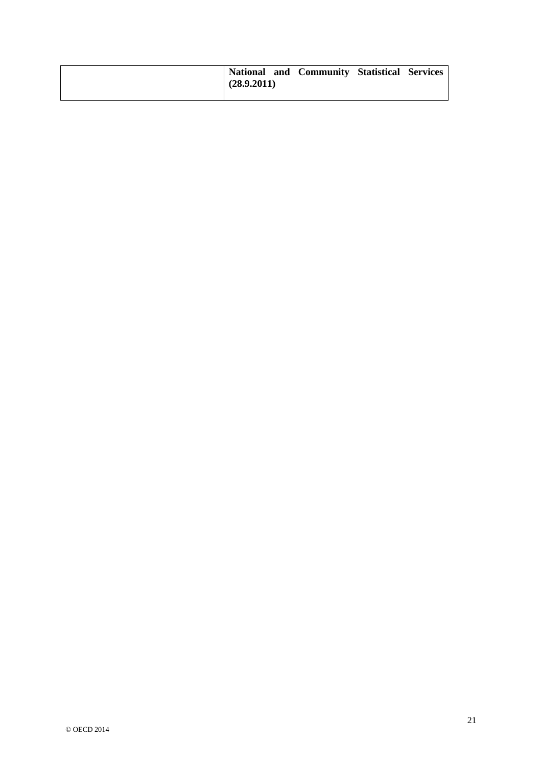| National and Community Statistical Services<br>(28.9.2011) |  |  |
|------------------------------------------------------------|--|--|
|                                                            |  |  |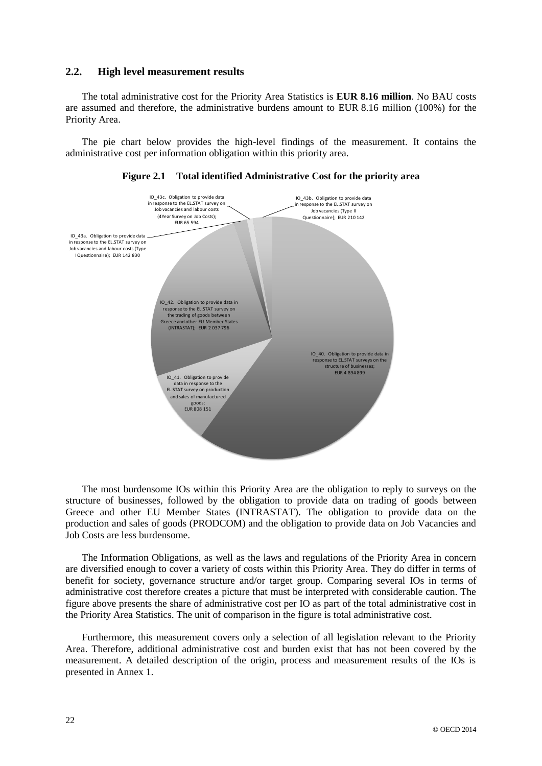### <span id="page-21-0"></span>**2.2. High level measurement results**

The total administrative cost for the Priority Area Statistics is **EUR 8.16 million**. No BAU costs are assumed and therefore, the administrative burdens amount to EUR 8.16 million (100%) for the Priority Area.

The pie chart below provides the high-level findings of the measurement. It contains the administrative cost per information obligation within this priority area.

<span id="page-21-1"></span>



Τhe most burdensome IOs within this Priority Area are the obligation to reply to surveys on the structure of businesses, followed by the obligation to provide data on trading of goods between Greece and other EU Member States (INTRASTAT). The obligation to provide data on the production and sales of goods (PRODCOM) and the obligation to provide data on Job Vacancies and Job Costs are less burdensome.

The Information Obligations, as well as the laws and regulations of the Priority Area in concern are diversified enough to cover a variety of costs within this Priority Area. They do differ in terms of benefit for society, governance structure and/or target group. Comparing several IOs in terms of administrative cost therefore creates a picture that must be interpreted with considerable caution. The figure above presents the share of administrative cost per IO as part of the total administrative cost in the Priority Area Statistics. The unit of comparison in the figure is total administrative cost.

Furthermore, this measurement covers only a selection of all legislation relevant to the Priority Area. Therefore, additional administrative cost and burden exist that has not been covered by the measurement. A detailed description of the origin, process and measurement results of the IOs is presented in Annex 1.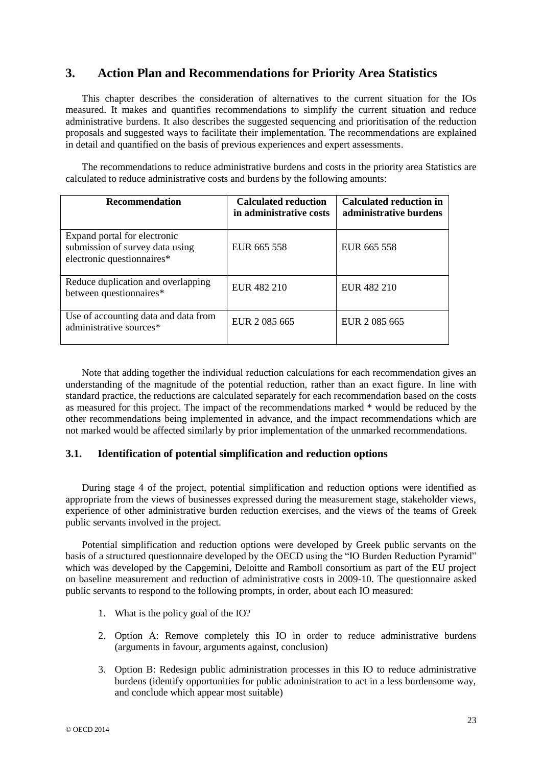# <span id="page-22-0"></span>**3. Action Plan and Recommendations for Priority Area Statistics**

This chapter describes the consideration of alternatives to the current situation for the IOs measured. It makes and quantifies recommendations to simplify the current situation and reduce administrative burdens. It also describes the suggested sequencing and prioritisation of the reduction proposals and suggested ways to facilitate their implementation. The recommendations are explained in detail and quantified on the basis of previous experiences and expert assessments.

The recommendations to reduce administrative burdens and costs in the priority area Statistics are calculated to reduce administrative costs and burdens by the following amounts:

| <b>Recommendation</b>                                                                         | <b>Calculated reduction</b><br>in administrative costs | <b>Calculated reduction in</b><br>administrative burdens |
|-----------------------------------------------------------------------------------------------|--------------------------------------------------------|----------------------------------------------------------|
| Expand portal for electronic<br>submission of survey data using<br>electronic questionnaires* | EUR 665 558                                            | EUR 665 558                                              |
| Reduce duplication and overlapping<br>between questionnaires*                                 | EUR 482 210                                            | EUR 482 210                                              |
| Use of accounting data and data from<br>administrative sources*                               | EUR 2 085 665                                          | EUR 2 085 665                                            |

Note that adding together the individual reduction calculations for each recommendation gives an understanding of the magnitude of the potential reduction, rather than an exact figure. In line with standard practice, the reductions are calculated separately for each recommendation based on the costs as measured for this project. The impact of the recommendations marked \* would be reduced by the other recommendations being implemented in advance, and the impact recommendations which are not marked would be affected similarly by prior implementation of the unmarked recommendations.

### <span id="page-22-1"></span>**3.1. Identification of potential simplification and reduction options**

During stage 4 of the project, potential simplification and reduction options were identified as appropriate from the views of businesses expressed during the measurement stage, stakeholder views, experience of other administrative burden reduction exercises, and the views of the teams of Greek public servants involved in the project.

Potential simplification and reduction options were developed by Greek public servants on the basis of a structured questionnaire developed by the OECD using the "IO Burden Reduction Pyramid" which was developed by the Capgemini, Deloitte and Ramboll consortium as part of the EU project on baseline measurement and reduction of administrative costs in 2009-10. The questionnaire asked public servants to respond to the following prompts, in order, about each IO measured:

- 1. What is the policy goal of the IO?
- 2. Option A: Remove completely this IO in order to reduce administrative burdens (arguments in favour, arguments against, conclusion)
- 3. Option B: Redesign public administration processes in this IO to reduce administrative burdens (identify opportunities for public administration to act in a less burdensome way, and conclude which appear most suitable)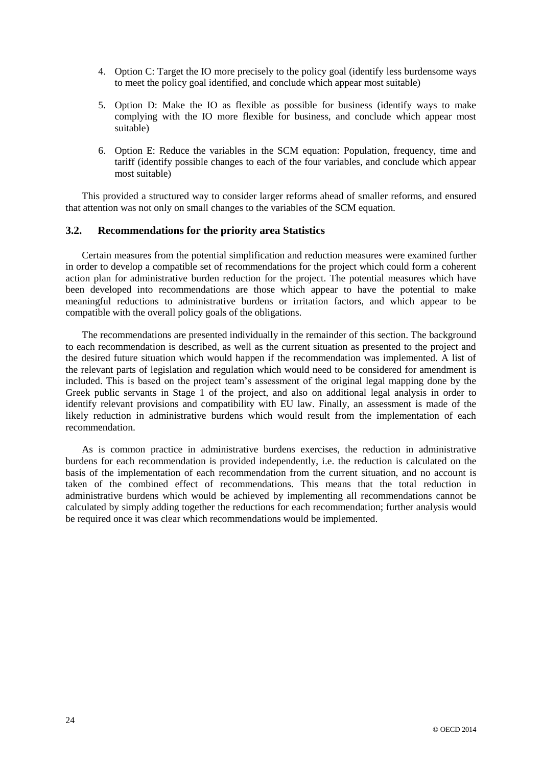- 4. Option C: Target the IO more precisely to the policy goal (identify less burdensome ways to meet the policy goal identified, and conclude which appear most suitable)
- 5. Option D: Make the IO as flexible as possible for business (identify ways to make complying with the IO more flexible for business, and conclude which appear most suitable)
- 6. Option E: Reduce the variables in the SCM equation: Population, frequency, time and tariff (identify possible changes to each of the four variables, and conclude which appear most suitable)

This provided a structured way to consider larger reforms ahead of smaller reforms, and ensured that attention was not only on small changes to the variables of the SCM equation.

#### <span id="page-23-0"></span>**3.2. Recommendations for the priority area Statistics**

Certain measures from the potential simplification and reduction measures were examined further in order to develop a compatible set of recommendations for the project which could form a coherent action plan for administrative burden reduction for the project. The potential measures which have been developed into recommendations are those which appear to have the potential to make meaningful reductions to administrative burdens or irritation factors, and which appear to be compatible with the overall policy goals of the obligations.

The recommendations are presented individually in the remainder of this section. The background to each recommendation is described, as well as the current situation as presented to the project and the desired future situation which would happen if the recommendation was implemented. A list of the relevant parts of legislation and regulation which would need to be considered for amendment is included. This is based on the project team's assessment of the original legal mapping done by the Greek public servants in Stage 1 of the project, and also on additional legal analysis in order to identify relevant provisions and compatibility with EU law. Finally, an assessment is made of the likely reduction in administrative burdens which would result from the implementation of each recommendation.

As is common practice in administrative burdens exercises, the reduction in administrative burdens for each recommendation is provided independently, i.e. the reduction is calculated on the basis of the implementation of each recommendation from the current situation, and no account is taken of the combined effect of recommendations. This means that the total reduction in administrative burdens which would be achieved by implementing all recommendations cannot be calculated by simply adding together the reductions for each recommendation; further analysis would be required once it was clear which recommendations would be implemented.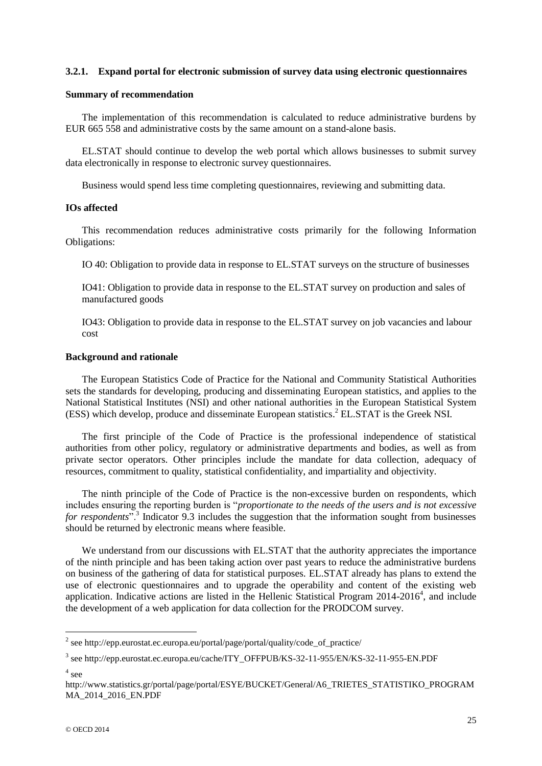#### <span id="page-24-0"></span>**3.2.1. Expand portal for electronic submission of survey data using electronic questionnaires**

### **Summary of recommendation**

The implementation of this recommendation is calculated to reduce administrative burdens by EUR 665 558 and administrative costs by the same amount on a stand-alone basis.

EL.STAT should continue to develop the web portal which allows businesses to submit survey data electronically in response to electronic survey questionnaires.

Business would spend less time completing questionnaires, reviewing and submitting data.

### **IOs affected**

This recommendation reduces administrative costs primarily for the following Information Obligations:

IO 40: Obligation to provide data in response to EL.STAT surveys on the structure of businesses

IO41: Obligation to provide data in response to the EL.STAT survey on production and sales of manufactured goods

IO43: Obligation to provide data in response to the EL.STAT survey on job vacancies and labour cost

#### **Background and rationale**

The European Statistics Code of Practice for the National and Community Statistical Authorities sets the standards for developing, producing and disseminating European statistics, and applies to the National Statistical Institutes (NSI) and other national authorities in the European Statistical System (ESS) which develop, produce and disseminate European statistics. <sup>2</sup> EL.STAT is the Greek NSI.

The first principle of the Code of Practice is the professional independence of statistical authorities from other policy, regulatory or administrative departments and bodies, as well as from private sector operators. Other principles include the mandate for data collection, adequacy of resources, commitment to quality, statistical confidentiality, and impartiality and objectivity.

The ninth principle of the Code of Practice is the non-excessive burden on respondents, which includes ensuring the reporting burden is "*proportionate to the needs of the users and is not excessive*  for respondents<sup>"</sup>.<sup>3</sup> Indicator 9.3 includes the suggestion that the information sought from businesses should be returned by electronic means where feasible.

We understand from our discussions with EL.STAT that the authority appreciates the importance of the ninth principle and has been taking action over past years to reduce the administrative burdens on business of the gathering of data for statistical purposes. EL.STAT already has plans to extend the use of electronic questionnaires and to upgrade the operability and content of the existing web application. Indicative actions are listed in the Hellenic Statistical Program 2014-2016<sup>4</sup>, and include the development of a web application for data collection for the PRODCOM survey.

4 see

<u>.</u>

<sup>&</sup>lt;sup>2</sup> see http://epp.eurostat.ec.europa.eu/portal/page/portal/quality/code\_of\_practice/

<sup>&</sup>lt;sup>3</sup> see http://epp.eurostat.ec.europa.eu/cache/ITY\_OFFPUB/KS-32-11-955/EN/KS-32-11-955-EN.PDF

http://www.statistics.gr/portal/page/portal/ESYE/BUCKET/General/A6\_TRIETES\_STATISTIKO\_PROGRAM MA\_2014\_2016\_EN.PDF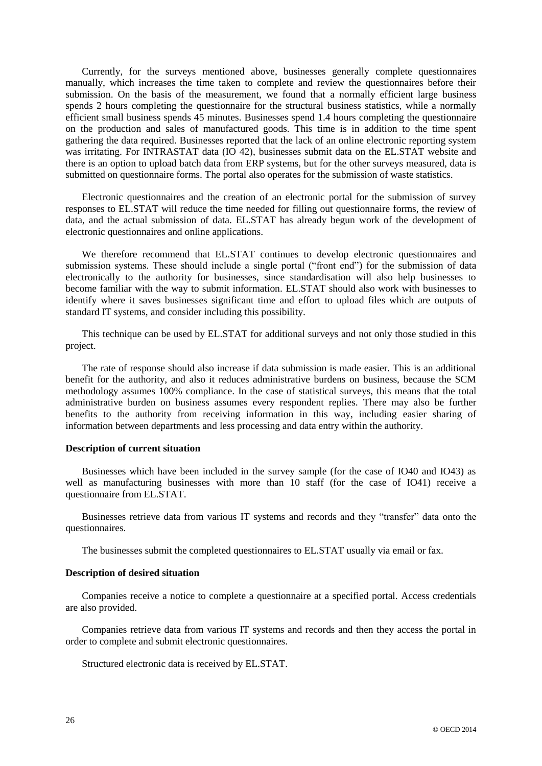Currently, for the surveys mentioned above, businesses generally complete questionnaires manually, which increases the time taken to complete and review the questionnaires before their submission. On the basis of the measurement, we found that a normally efficient large business spends 2 hours completing the questionnaire for the structural business statistics, while a normally efficient small business spends 45 minutes. Businesses spend 1.4 hours completing the questionnaire on the production and sales of manufactured goods. This time is in addition to the time spent gathering the data required. Businesses reported that the lack of an online electronic reporting system was irritating. For INTRASTAT data (IO 42), businesses submit data on the EL.STAT website and there is an option to upload batch data from ERP systems, but for the other surveys measured, data is submitted on questionnaire forms. The portal also operates for the submission of waste statistics.

Electronic questionnaires and the creation of an electronic portal for the submission of survey responses to EL.STAT will reduce the time needed for filling out questionnaire forms, the review of data, and the actual submission of data. EL.STAT has already begun work of the development of electronic questionnaires and online applications.

We therefore recommend that EL.STAT continues to develop electronic questionnaires and submission systems. These should include a single portal ("front end") for the submission of data electronically to the authority for businesses, since standardisation will also help businesses to become familiar with the way to submit information. EL.STAT should also work with businesses to identify where it saves businesses significant time and effort to upload files which are outputs of standard IT systems, and consider including this possibility.

This technique can be used by EL.STAT for additional surveys and not only those studied in this project.

The rate of response should also increase if data submission is made easier. This is an additional benefit for the authority, and also it reduces administrative burdens on business, because the SCM methodology assumes 100% compliance. In the case of statistical surveys, this means that the total administrative burden on business assumes every respondent replies. There may also be further benefits to the authority from receiving information in this way, including easier sharing of information between departments and less processing and data entry within the authority.

#### **Description of current situation**

Businesses which have been included in the survey sample (for the case of IO40 and IO43) as well as manufacturing businesses with more than 10 staff (for the case of IO41) receive a questionnaire from EL.STAT.

Businesses retrieve data from various IT systems and records and they "transfer" data onto the questionnaires.

The businesses submit the completed questionnaires to EL.STAT usually via email or fax.

#### **Description of desired situation**

Companies receive a notice to complete a questionnaire at a specified portal. Access credentials are also provided.

Companies retrieve data from various IT systems and records and then they access the portal in order to complete and submit electronic questionnaires.

Structured electronic data is received by EL.STAT.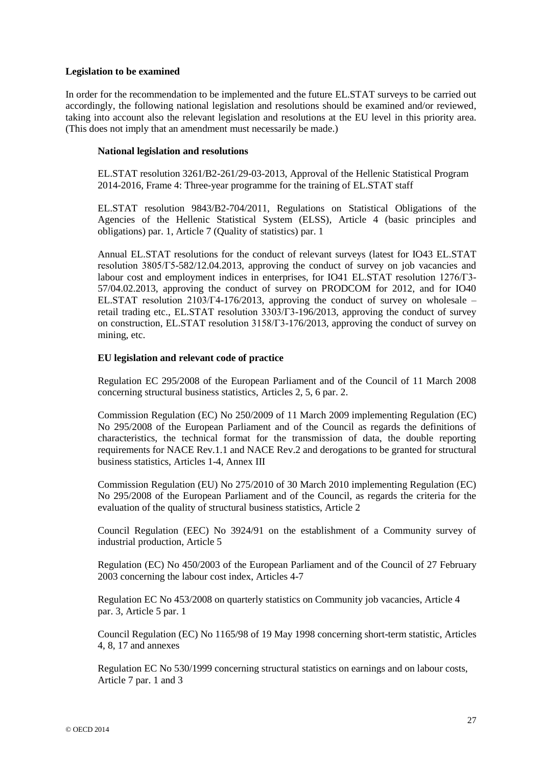### **Legislation to be examined**

In order for the recommendation to be implemented and the future EL.STAT surveys to be carried out accordingly, the following national legislation and resolutions should be examined and/or reviewed, taking into account also the relevant legislation and resolutions at the EU level in this priority area. (This does not imply that an amendment must necessarily be made.)

### **National legislation and resolutions**

EL.STAT resolution 3261/B2-261/29-03-2013, Approval of the Hellenic Statistical Program 2014-2016, Frame 4: Three-year programme for the training of EL.STAT staff

EL.STAT resolution 9843/B2-704/2011, Regulations on Statistical Obligations of the Agencies of the Hellenic Statistical System (ELSS), Article 4 (basic principles and obligations) par. 1, Article 7 (Quality of statistics) par. 1

Annual EL.STAT resolutions for the conduct of relevant surveys (latest for IO43 EL.STAT resolution 3805/Γ5-582/12.04.2013, approving the conduct of survey on job vacancies and labour cost and employment indices in enterprises, for IO41 EL.STAT resolution 1276/Γ3- 57/04.02.2013, approving the conduct of survey on PRODCOM for 2012, and for IO40 EL.STAT resolution 2103/Γ4-176/2013, approving the conduct of survey on wholesale – retail trading etc., EL.STAT resolution 3303/Γ3-196/2013, approving the conduct of survey on construction, EL.STAT resolution 3158/Γ3-176/2013, approving the conduct of survey on mining, etc.

### **EU legislation and relevant code of practice**

Regulation EC 295/2008 of the European Parliament and of the Council of 11 March 2008 concerning structural business statistics, Articles 2, 5, 6 par. 2.

Commission Regulation (EC) No 250/2009 of 11 March 2009 implementing Regulation (EC) No 295/2008 of the European Parliament and of the Council as regards the definitions of characteristics, the technical format for the transmission of data, the double reporting requirements for NACE Rev.1.1 and NACE Rev.2 and derogations to be granted for structural business statistics, Articles 1-4, Annex III

Commission Regulation (EU) No 275/2010 of 30 March 2010 implementing Regulation (EC) No 295/2008 of the European Parliament and of the Council, as regards the criteria for the evaluation of the quality of structural business statistics, Article 2

Council Regulation (EEC) No 3924/91 on the establishment of a Community survey of industrial production, Article 5

Regulation (EC) No 450/2003 of the European Parliament and of the Council of 27 February 2003 concerning the labour cost index, Articles 4-7

Regulation EC No 453/2008 on quarterly statistics on Community job vacancies, Article 4 par. 3, Article 5 par. 1

Council Regulation (EC) No 1165/98 of 19 May 1998 concerning short-term statistic, Articles 4, 8, 17 and annexes

Regulation EC No 530/1999 concerning structural statistics on earnings and on labour costs, Article 7 par. 1 and 3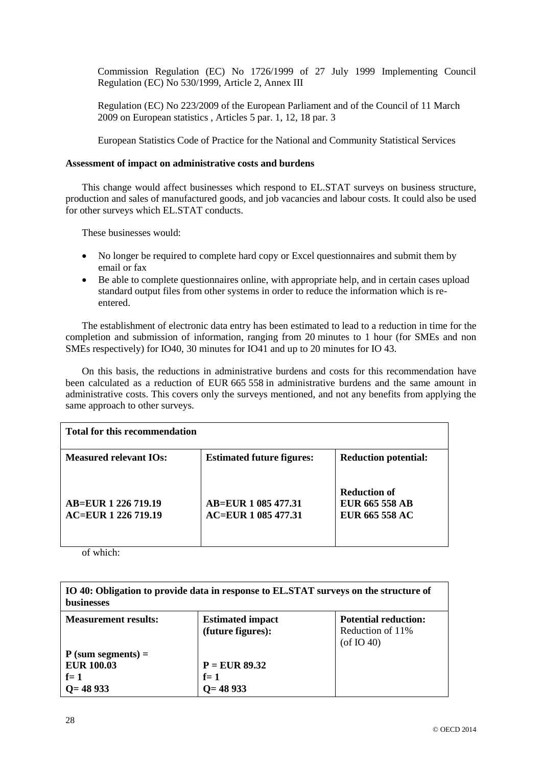Commission Regulation (EC) No 1726/1999 of 27 July 1999 Implementing Council Regulation (EC) No 530/1999, Article 2, Annex III

Regulation (EC) No 223/2009 of the European Parliament and of the Council of 11 March 2009 on European statistics , Articles 5 par. 1, 12, 18 par. 3

European Statistics Code of Practice for the National and Community Statistical Services

### **Assessment of impact on administrative costs and burdens**

This change would affect businesses which respond to EL.STAT surveys on business structure, production and sales of manufactured goods, and job vacancies and labour costs. It could also be used for other surveys which EL.STAT conducts.

These businesses would:

- No longer be required to complete hard copy or Excel questionnaires and submit them by email or fax
- Be able to complete questionnaires online, with appropriate help, and in certain cases upload standard output files from other systems in order to reduce the information which is reentered.

The establishment of electronic data entry has been estimated to lead to a reduction in time for the completion and submission of information, ranging from 20 minutes to 1 hour (for SMEs and non SMEs respectively) for IO40, 30 minutes for IO41 and up to 20 minutes for IO 43.

On this basis, the reductions in administrative burdens and costs for this recommendation have been calculated as a reduction of EUR 665 558 in administrative burdens and the same amount in administrative costs. This covers only the surveys mentioned, and not any benefits from applying the same approach to other surveys.

| <b>Total for this recommendation</b>         |                                               |                                                                |
|----------------------------------------------|-----------------------------------------------|----------------------------------------------------------------|
| Measured relevant IOs:                       | <b>Estimated future figures:</b>              | <b>Reduction potential:</b>                                    |
| AB=EUR 1 226 719.19<br>$AC=EUR$ 1 226 719.19 | AB=EUR 1 085 477.31<br>$AC=FLIR$ 1 085 477.31 | <b>Reduction of</b><br>EUR 665 558 AB<br><b>EUR 665 558 AC</b> |

of which:

| IO 40: Obligation to provide data in response to EL.STAT surveys on the structure of<br><b>businesses</b> |                                              |                                                                  |  |  |
|-----------------------------------------------------------------------------------------------------------|----------------------------------------------|------------------------------------------------------------------|--|--|
| <b>Measurement results:</b>                                                                               | <b>Estimated impact</b><br>(future figures): | <b>Potential reduction:</b><br>Reduction of 11%<br>$($ of IO 40) |  |  |
| $P$ (sum segments) =<br><b>EUR 100.03</b><br>$f=1$<br>$Q = 48933$                                         | $P = EUR 89.32$<br>$f=1$<br>$Q = 48933$      |                                                                  |  |  |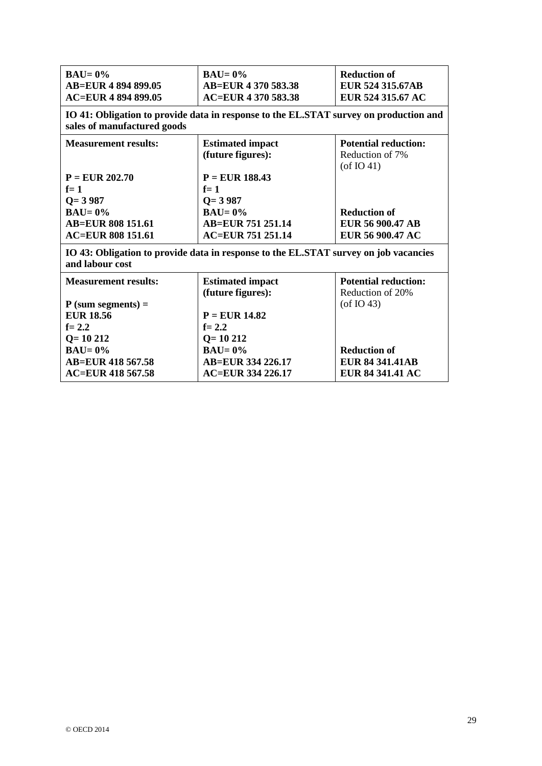| $BAU=0%$                    | $BAU=0\%$                                                                             | <b>Reduction of</b>         |
|-----------------------------|---------------------------------------------------------------------------------------|-----------------------------|
| AB=EUR 4 894 899.05         | AB=EUR 4 370 583.38                                                                   | EUR 524 315.67AB            |
| <b>AC=EUR 4 894 899.05</b>  | <b>AC=EUR 4 370 583.38</b>                                                            | EUR 524 315.67 AC           |
| sales of manufactured goods | IO 41: Obligation to provide data in response to the EL.STAT survey on production and |                             |
| <b>Measurement results:</b> | <b>Estimated impact</b>                                                               | <b>Potential reduction:</b> |
|                             | (future figures):                                                                     | Reduction of 7%             |
|                             |                                                                                       | $($ of IO 41 $)$            |
| $P = EUR 202.70$            | $P = EUR$ 188.43                                                                      |                             |
| $f=1$                       | $f=1$                                                                                 |                             |
| $Q = 3.987$                 | $Q = 3.987$                                                                           |                             |
| $BAU=0%$                    | $BAU=0%$                                                                              | <b>Reduction of</b>         |
| <b>AB=EUR 808 151.61</b>    | AB=EUR 751 251.14                                                                     | EUR 56 900.47 AB            |
| <b>AC=EUR 808 151.61</b>    | AC=EUR 751 251.14                                                                     | EUR 56 900.47 AC            |
| and labour cost             | IO 43: Obligation to provide data in response to the EL.STAT survey on job vacancies  |                             |
| <b>Measurement results:</b> | <b>Estimated impact</b>                                                               | <b>Potential reduction:</b> |
|                             | (future figures):                                                                     | Reduction of 20%            |
| $P$ (sum segments) =        |                                                                                       | $($ of IO 43 $)$            |
| <b>EUR 18.56</b>            | $P = EUR 14.82$                                                                       |                             |
| $f = 2.2$                   | $f = 2.2$                                                                             |                             |
| $Q = 10212$                 | $Q = 10212$                                                                           |                             |
| $BAU=0%$                    | $BAU=0%$                                                                              | <b>Reduction of</b>         |
| <b>AB=EUR 418 567.58</b>    | <b>AB=EUR 334 226.17</b>                                                              | <b>EUR 84 341.41AB</b>      |
| <b>AC=EUR 418 567.58</b>    | <b>AC=EUR 334 226.17</b><br><b>EUR 84 341.41 AC</b>                                   |                             |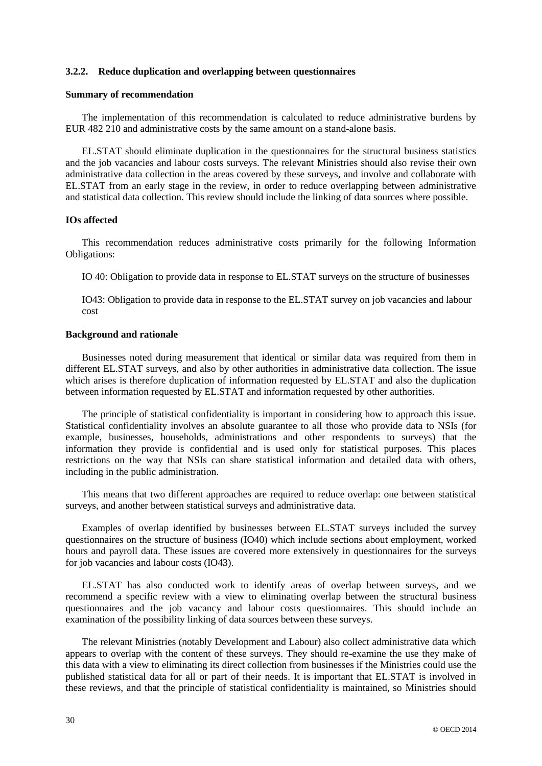#### <span id="page-29-0"></span>**3.2.2. Reduce duplication and overlapping between questionnaires**

#### **Summary of recommendation**

The implementation of this recommendation is calculated to reduce administrative burdens by EUR 482 210 and administrative costs by the same amount on a stand-alone basis.

EL.STAT should eliminate duplication in the questionnaires for the structural business statistics and the job vacancies and labour costs surveys. The relevant Ministries should also revise their own administrative data collection in the areas covered by these surveys, and involve and collaborate with EL.STAT from an early stage in the review, in order to reduce overlapping between administrative and statistical data collection. This review should include the linking of data sources where possible.

#### **IOs affected**

This recommendation reduces administrative costs primarily for the following Information Obligations:

IO 40: Obligation to provide data in response to EL.STAT surveys on the structure of businesses

IO43: Obligation to provide data in response to the EL.STAT survey on job vacancies and labour cost

#### **Background and rationale**

Businesses noted during measurement that identical or similar data was required from them in different EL.STAT surveys, and also by other authorities in administrative data collection. The issue which arises is therefore duplication of information requested by EL.STAT and also the duplication between information requested by EL.STAT and information requested by other authorities.

The principle of statistical confidentiality is important in considering how to approach this issue. Statistical confidentiality involves an absolute guarantee to all those who provide data to NSIs (for example, businesses, households, administrations and other respondents to surveys) that the information they provide is confidential and is used only for statistical purposes. This places restrictions on the way that NSIs can share statistical information and detailed data with others, including in the public administration.

This means that two different approaches are required to reduce overlap: one between statistical surveys, and another between statistical surveys and administrative data.

Examples of overlap identified by businesses between EL.STAT surveys included the survey questionnaires on the structure of business (IO40) which include sections about employment, worked hours and payroll data. These issues are covered more extensively in questionnaires for the surveys for job vacancies and labour costs (IO43).

EL.STAT has also conducted work to identify areas of overlap between surveys, and we recommend a specific review with a view to eliminating overlap between the structural business questionnaires and the job vacancy and labour costs questionnaires. This should include an examination of the possibility linking of data sources between these surveys.

The relevant Ministries (notably Development and Labour) also collect administrative data which appears to overlap with the content of these surveys. They should re-examine the use they make of this data with a view to eliminating its direct collection from businesses if the Ministries could use the published statistical data for all or part of their needs. It is important that EL.STAT is involved in these reviews, and that the principle of statistical confidentiality is maintained, so Ministries should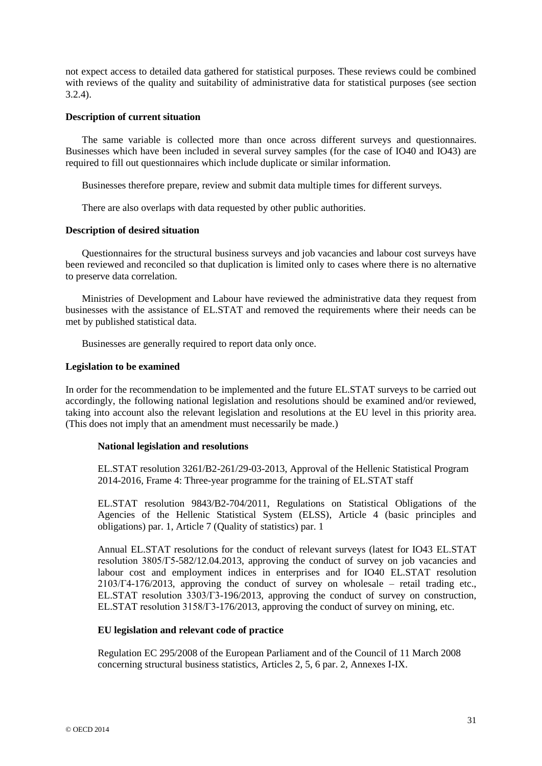not expect access to detailed data gathered for statistical purposes. These reviews could be combined with reviews of the quality and suitability of administrative data for statistical purposes (see section 3.2.4).

### **Description of current situation**

The same variable is collected more than once across different surveys and questionnaires. Businesses which have been included in several survey samples (for the case of IO40 and IO43) are required to fill out questionnaires which include duplicate or similar information.

Businesses therefore prepare, review and submit data multiple times for different surveys.

There are also overlaps with data requested by other public authorities.

### **Description of desired situation**

Questionnaires for the structural business surveys and job vacancies and labour cost surveys have been reviewed and reconciled so that duplication is limited only to cases where there is no alternative to preserve data correlation.

Ministries of Development and Labour have reviewed the administrative data they request from businesses with the assistance of EL.STAT and removed the requirements where their needs can be met by published statistical data.

Businesses are generally required to report data only once.

### **Legislation to be examined**

In order for the recommendation to be implemented and the future EL.STAT surveys to be carried out accordingly, the following national legislation and resolutions should be examined and/or reviewed, taking into account also the relevant legislation and resolutions at the EU level in this priority area. (This does not imply that an amendment must necessarily be made.)

#### **National legislation and resolutions**

EL.STAT resolution 3261/B2-261/29-03-2013, Approval of the Hellenic Statistical Program 2014-2016, Frame 4: Three-year programme for the training of EL.STAT staff

EL.STAT resolution 9843/B2-704/2011, Regulations on Statistical Obligations of the Agencies of the Hellenic Statistical System (ELSS), Article 4 (basic principles and obligations) par. 1, Article 7 (Quality of statistics) par. 1

Annual EL.STAT resolutions for the conduct of relevant surveys (latest for IO43 EL.STAT resolution 3805/Γ5-582/12.04.2013, approving the conduct of survey on job vacancies and labour cost and employment indices in enterprises and for IO40 EL.STAT resolution 2103/Γ4-176/2013, approving the conduct of survey on wholesale – retail trading etc., EL.STAT resolution 3303/Γ3-196/2013, approving the conduct of survey on construction, EL.STAT resolution 3158/Γ3-176/2013, approving the conduct of survey on mining, etc.

### **EU legislation and relevant code of practice**

Regulation EC 295/2008 of the European Parliament and of the Council of 11 March 2008 concerning structural business statistics, Articles 2, 5, 6 par. 2, Annexes I-IX.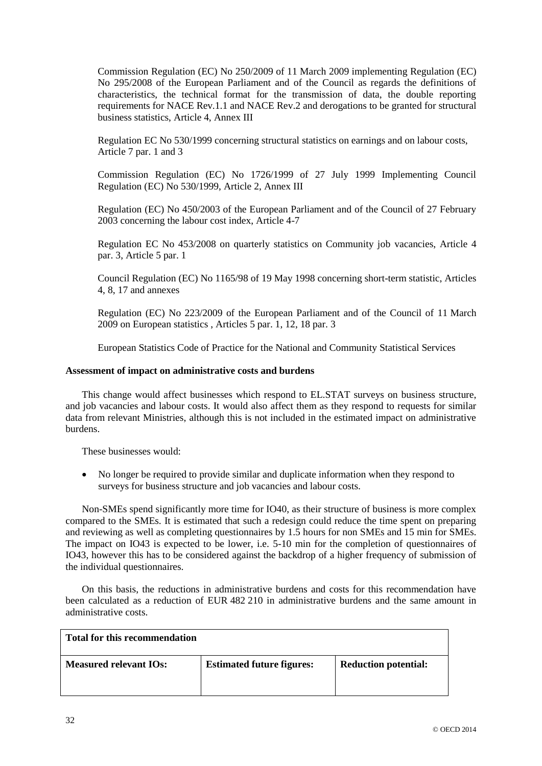Commission Regulation (EC) No 250/2009 of 11 March 2009 implementing Regulation (EC) No 295/2008 of the European Parliament and of the Council as regards the definitions of characteristics, the technical format for the transmission of data, the double reporting requirements for NACE Rev.1.1 and NACE Rev.2 and derogations to be granted for structural business statistics, Article 4, Annex III

Regulation EC No 530/1999 concerning structural statistics on earnings and on labour costs, Article 7 par. 1 and 3

Commission Regulation (EC) No 1726/1999 of 27 July 1999 Implementing Council Regulation (EC) No 530/1999, Article 2, Annex III

Regulation (EC) No 450/2003 of the European Parliament and of the Council of 27 February 2003 concerning the labour cost index, Article 4-7

Regulation EC No 453/2008 on quarterly statistics on Community job vacancies, Article 4 par. 3, Article 5 par. 1

Council Regulation (EC) No 1165/98 of 19 May 1998 concerning short-term statistic, Articles 4, 8, 17 and annexes

Regulation (EC) No 223/2009 of the European Parliament and of the Council of 11 March 2009 on European statistics , Articles 5 par. 1, 12, 18 par. 3

European Statistics Code of Practice for the National and Community Statistical Services

#### **Assessment of impact on administrative costs and burdens**

This change would affect businesses which respond to EL.STAT surveys on business structure, and job vacancies and labour costs. It would also affect them as they respond to requests for similar data from relevant Ministries, although this is not included in the estimated impact on administrative burdens.

These businesses would:

 No longer be required to provide similar and duplicate information when they respond to surveys for business structure and job vacancies and labour costs.

Non-SMEs spend significantly more time for IO40, as their structure of business is more complex compared to the SMEs. It is estimated that such a redesign could reduce the time spent on preparing and reviewing as well as completing questionnaires by 1.5 hours for non SMEs and 15 min for SMEs. The impact on IO43 is expected to be lower, i.e. 5-10 min for the completion of questionnaires of IO43, however this has to be considered against the backdrop of a higher frequency of submission of the individual questionnaires.

On this basis, the reductions in administrative burdens and costs for this recommendation have been calculated as a reduction of EUR 482 210 in administrative burdens and the same amount in administrative costs.

| <b>Total for this recommendation</b> |                                  |                             |
|--------------------------------------|----------------------------------|-----------------------------|
| <b>Measured relevant IOs:</b>        | <b>Estimated future figures:</b> | <b>Reduction potential:</b> |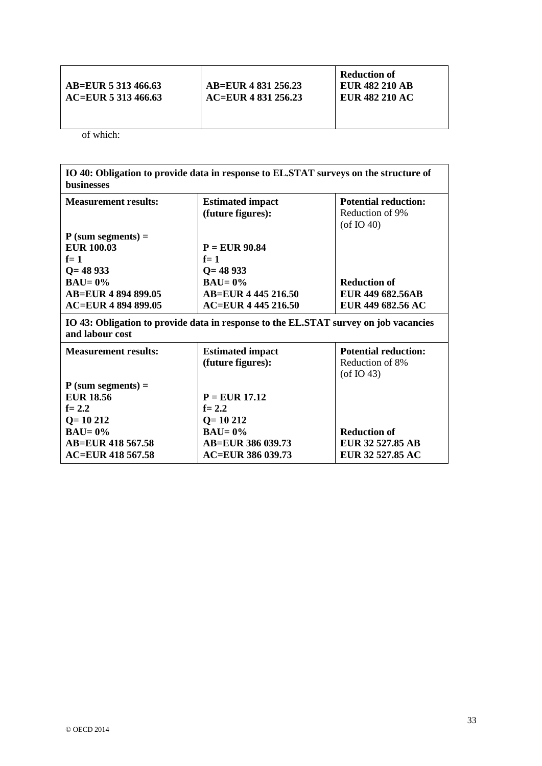| AB=EUR 5 313 466.63<br>$AC=EUR$ 5 313 466.63 | AB=EUR 4 831 256.23<br>$AC=EUIR 4 831 256.23$ | <b>Reduction of</b><br>EUR 482 210 AB<br>EUR 482 210 AC |
|----------------------------------------------|-----------------------------------------------|---------------------------------------------------------|
|                                              |                                               |                                                         |

of which:

| businesses                  | IO 40: Obligation to provide data in response to EL.STAT surveys on the structure of |                                                                    |
|-----------------------------|--------------------------------------------------------------------------------------|--------------------------------------------------------------------|
| <b>Measurement results:</b> | <b>Estimated impact</b><br>(future figures):                                         | <b>Potential reduction:</b><br>Reduction of 9%<br>$($ of IO 40 $)$ |
| $P$ (sum segments) =        |                                                                                      |                                                                    |
| <b>EUR 100.03</b>           | $P = EUR 90.84$                                                                      |                                                                    |
| $f=1$                       | $f=1$                                                                                |                                                                    |
| $Q = 48933$                 | $Q = 48933$                                                                          |                                                                    |
| $BAU=0%$                    | $BAU=0%$                                                                             | <b>Reduction of</b>                                                |
| AB=EUR 4 894 899.05         | AB=EUR 4 445 216.50                                                                  | <b>EUR 449 682.56AB</b>                                            |
| <b>AC=EUR 4 894 899.05</b>  | <b>AC=EUR 4 445 216.50</b>                                                           | EUR 449 682.56 AC                                                  |
| and labour cost             | IO 43: Obligation to provide data in response to the EL.STAT survey on job vacancies |                                                                    |
| <b>Measurement results:</b> | <b>Estimated impact</b>                                                              | <b>Potential reduction:</b>                                        |
|                             | (future figures):                                                                    | Reduction of 8%<br>$($ of IO 43 $)$                                |
| $P$ (sum segments) =        |                                                                                      |                                                                    |
| <b>EUR 18.56</b>            | $P = EUR 17.12$                                                                      |                                                                    |
| $f = 2.2$                   | $f = 2.2$                                                                            |                                                                    |
| $Q = 10212$                 | $Q = 10212$                                                                          |                                                                    |
| $BAU=0%$                    | $BAU=0%$                                                                             | <b>Reduction of</b>                                                |
| <b>AB=EUR 418 567.58</b>    | <b>AB=EUR 386 039.73</b>                                                             | EUR 32 527.85 AB                                                   |
| <b>AC=EUR 418 567.58</b>    | <b>AC=EUR 386 039.73</b>                                                             | EUR 32 527.85 AC                                                   |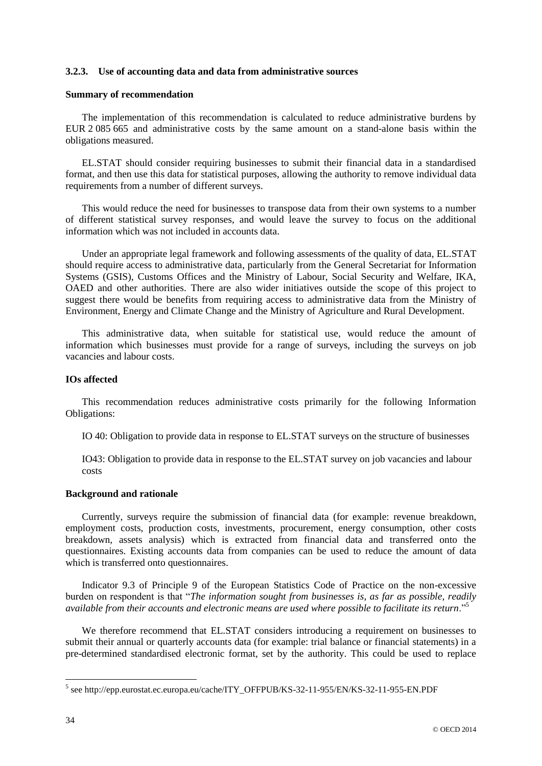#### <span id="page-33-0"></span>**3.2.3. Use of accounting data and data from administrative sources**

#### **Summary of recommendation**

The implementation of this recommendation is calculated to reduce administrative burdens by EUR 2 085 665 and administrative costs by the same amount on a stand-alone basis within the obligations measured.

EL.STAT should consider requiring businesses to submit their financial data in a standardised format, and then use this data for statistical purposes, allowing the authority to remove individual data requirements from a number of different surveys.

This would reduce the need for businesses to transpose data from their own systems to a number of different statistical survey responses, and would leave the survey to focus on the additional information which was not included in accounts data.

Under an appropriate legal framework and following assessments of the quality of data, EL.STAT should require access to administrative data, particularly from the General Secretariat for Information Systems (GSIS), Customs Offices and the Ministry of Labour, Social Security and Welfare, IKA, OAED and other authorities. There are also wider initiatives outside the scope of this project to suggest there would be benefits from requiring access to administrative data from the Ministry of Environment, Energy and Climate Change and the Ministry of Agriculture and Rural Development.

This administrative data, when suitable for statistical use, would reduce the amount of information which businesses must provide for a range of surveys, including the surveys on job vacancies and labour costs.

#### **IOs affected**

This recommendation reduces administrative costs primarily for the following Information Obligations:

IO 40: Obligation to provide data in response to EL.STAT surveys on the structure of businesses

IO43: Obligation to provide data in response to the EL.STAT survey on job vacancies and labour costs

### **Background and rationale**

Currently, surveys require the submission of financial data (for example: revenue breakdown, employment costs, production costs, investments, procurement, energy consumption, other costs breakdown, assets analysis) which is extracted from financial data and transferred onto the questionnaires. Existing accounts data from companies can be used to reduce the amount of data which is transferred onto questionnaires.

Indicator 9.3 of Principle 9 of the European Statistics Code of Practice on the non-excessive burden on respondent is that "*The information sought from businesses is, as far as possible, readily available from their accounts and electronic means are used where possible to facilitate its return*."<sup>5</sup>

We therefore recommend that EL.STAT considers introducing a requirement on businesses to submit their annual or quarterly accounts data (for example: trial balance or financial statements) in a pre-determined standardised electronic format, set by the authority. This could be used to replace

1

<sup>&</sup>lt;sup>5</sup> see http://epp.eurostat.ec.europa.eu/cache/ITY\_OFFPUB/KS-32-11-955/EN/KS-32-11-955-EN.PDF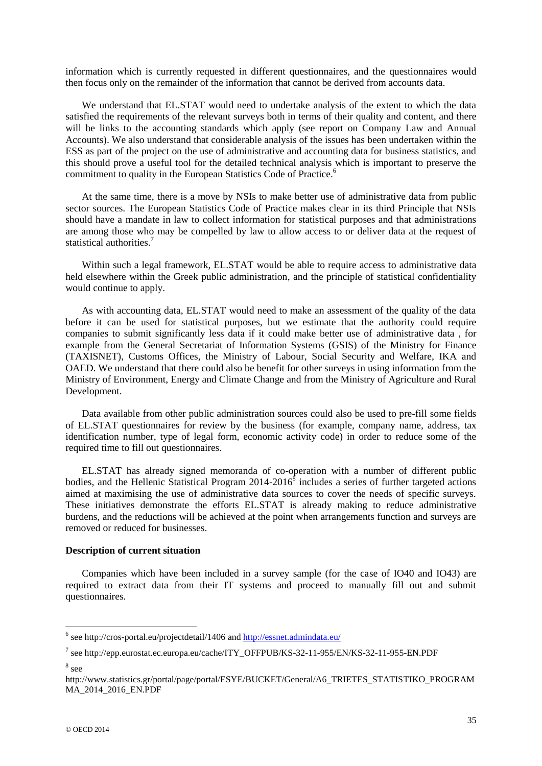information which is currently requested in different questionnaires, and the questionnaires would then focus only on the remainder of the information that cannot be derived from accounts data.

We understand that EL.STAT would need to undertake analysis of the extent to which the data satisfied the requirements of the relevant surveys both in terms of their quality and content, and there will be links to the accounting standards which apply (see report on Company Law and Annual Accounts). We also understand that considerable analysis of the issues has been undertaken within the ESS as part of the project on the use of administrative and accounting data for business statistics, and this should prove a useful tool for the detailed technical analysis which is important to preserve the commitment to quality in the European Statistics Code of Practice.<sup>6</sup>

At the same time, there is a move by NSIs to make better use of administrative data from public sector sources. The European Statistics Code of Practice makes clear in its third Principle that NSIs should have a mandate in law to collect information for statistical purposes and that administrations are among those who may be compelled by law to allow access to or deliver data at the request of statistical authorities.<sup>7</sup>

Within such a legal framework, EL.STAT would be able to require access to administrative data held elsewhere within the Greek public administration, and the principle of statistical confidentiality would continue to apply.

As with accounting data, EL.STAT would need to make an assessment of the quality of the data before it can be used for statistical purposes, but we estimate that the authority could require companies to submit significantly less data if it could make better use of administrative data , for example from the General Secretariat of Information Systems (GSIS) of the Ministry for Finance (TAXISNET), Customs Offices, the Ministry of Labour, Social Security and Welfare, IKA and OAED. We understand that there could also be benefit for other surveys in using information from the Ministry of Environment, Energy and Climate Change and from the Ministry of Agriculture and Rural Development.

Data available from other public administration sources could also be used to pre-fill some fields of EL.STAT questionnaires for review by the business (for example, company name, address, tax identification number, type of legal form, economic activity code) in order to reduce some of the required time to fill out questionnaires.

EL.STAT has already signed memoranda of co-operation with a number of different public bodies, and the Hellenic Statistical Program  $2014-2016^{\delta}$  includes a series of further targeted actions aimed at maximising the use of administrative data sources to cover the needs of specific surveys. These initiatives demonstrate the efforts EL.STAT is already making to reduce administrative burdens, and the reductions will be achieved at the point when arrangements function and surveys are removed or reduced for businesses.

#### **Description of current situation**

Companies which have been included in a survey sample (for the case of IO40 and IO43) are required to extract data from their IT systems and proceed to manually fill out and submit questionnaires.

Filter see http://cros-portal.eu/projectdetail/1406 and<http://essnet.admindata.eu/>

<sup>&</sup>lt;sup>7</sup> see http://epp.eurostat.ec.europa.eu/cache/ITY\_OFFPUB/KS-32-11-955/EN/KS-32-11-955-EN.PDF 8 see

http://www.statistics.gr/portal/page/portal/ESYE/BUCKET/General/A6\_TRIETES\_STATISTIKO\_PROGRAM MA\_2014\_2016\_EN.PDF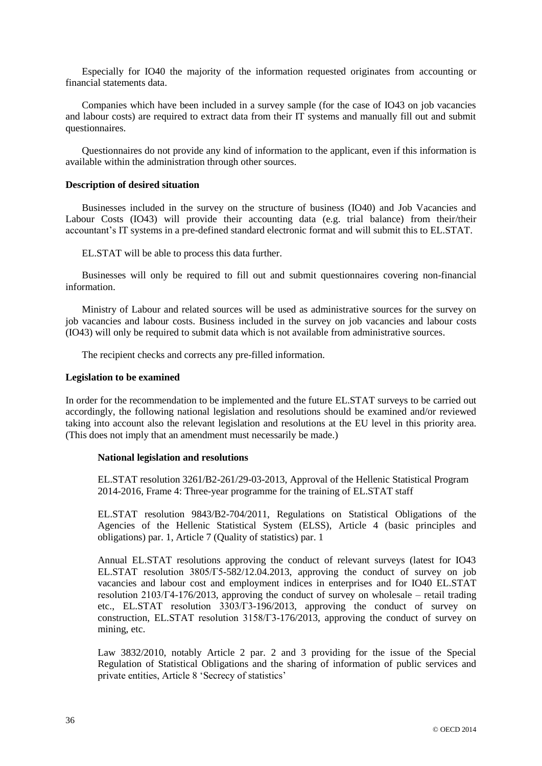Especially for IO40 the majority of the information requested originates from accounting or financial statements data.

Companies which have been included in a survey sample (for the case of IO43 on job vacancies and labour costs) are required to extract data from their IT systems and manually fill out and submit questionnaires.

Questionnaires do not provide any kind of information to the applicant, even if this information is available within the administration through other sources.

### **Description of desired situation**

Businesses included in the survey on the structure of business (IO40) and Job Vacancies and Labour Costs (IO43) will provide their accounting data (e.g. trial balance) from their/their accountant's IT systems in a pre-defined standard electronic format and will submit this to EL.STAT.

EL.STAT will be able to process this data further.

Businesses will only be required to fill out and submit questionnaires covering non-financial information.

Ministry of Labour and related sources will be used as administrative sources for the survey on job vacancies and labour costs. Business included in the survey on job vacancies and labour costs (IO43) will only be required to submit data which is not available from administrative sources.

The recipient checks and corrects any pre-filled information.

#### **Legislation to be examined**

In order for the recommendation to be implemented and the future EL.STAT surveys to be carried out accordingly, the following national legislation and resolutions should be examined and/or reviewed taking into account also the relevant legislation and resolutions at the EU level in this priority area. (This does not imply that an amendment must necessarily be made.)

#### **National legislation and resolutions**

EL.STAT resolution 3261/B2-261/29-03-2013, Approval of the Hellenic Statistical Program 2014-2016, Frame 4: Three-year programme for the training of EL.STAT staff

EL.STAT resolution 9843/B2-704/2011, Regulations on Statistical Obligations of the Agencies of the Hellenic Statistical System (ELSS), Article 4 (basic principles and obligations) par. 1, Article 7 (Quality of statistics) par. 1

Annual EL.STAT resolutions approving the conduct of relevant surveys (latest for IO43 EL.STAT resolution 3805/Γ5-582/12.04.2013, approving the conduct of survey on job vacancies and labour cost and employment indices in enterprises and for IO40 EL.STAT resolution 2103/Γ4-176/2013, approving the conduct of survey on wholesale – retail trading etc., EL.STAT resolution 3303/Γ3-196/2013, approving the conduct of survey on construction, EL.STAT resolution 3158/Γ3-176/2013, approving the conduct of survey on mining, etc.

Law 3832/2010, notably Article 2 par. 2 and 3 providing for the issue of the Special Regulation of Statistical Obligations and the sharing of information of public services and private entities, Article 8 'Secrecy of statistics'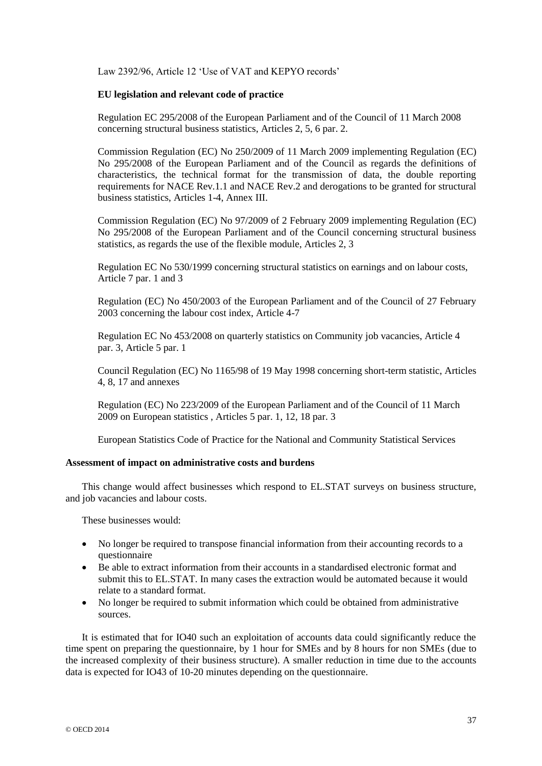Law 2392/96, Article 12 'Use of VAT and KEPYO records'

### **EU legislation and relevant code of practice**

Regulation EC 295/2008 of the European Parliament and of the Council of 11 March 2008 concerning structural business statistics, Articles 2, 5, 6 par. 2.

Commission Regulation (EC) No 250/2009 of 11 March 2009 implementing Regulation (EC) No 295/2008 of the European Parliament and of the Council as regards the definitions of characteristics, the technical format for the transmission of data, the double reporting requirements for NACE Rev.1.1 and NACE Rev.2 and derogations to be granted for structural business statistics, Articles 1-4, Annex III.

Commission Regulation (EC) No 97/2009 of 2 February 2009 implementing Regulation (EC) No 295/2008 of the European Parliament and of the Council concerning structural business statistics, as regards the use of the flexible module, Articles 2, 3

Regulation EC No 530/1999 concerning structural statistics on earnings and on labour costs, Article 7 par. 1 and 3

Regulation (EC) No 450/2003 of the European Parliament and of the Council of 27 February 2003 concerning the labour cost index, Article 4-7

Regulation EC No 453/2008 on quarterly statistics on Community job vacancies, Article 4 par. 3, Article 5 par. 1

Council Regulation (EC) No 1165/98 of 19 May 1998 concerning short-term statistic, Articles 4, 8, 17 and annexes

Regulation (EC) No 223/2009 of the European Parliament and of the Council of 11 March 2009 on European statistics , Articles 5 par. 1, 12, 18 par. 3

European Statistics Code of Practice for the National and Community Statistical Services

### **Assessment of impact on administrative costs and burdens**

This change would affect businesses which respond to EL.STAT surveys on business structure, and job vacancies and labour costs.

These businesses would:

- No longer be required to transpose financial information from their accounting records to a questionnaire
- Be able to extract information from their accounts in a standardised electronic format and submit this to EL.STAT. In many cases the extraction would be automated because it would relate to a standard format.
- No longer be required to submit information which could be obtained from administrative sources.

It is estimated that for IO40 such an exploitation of accounts data could significantly reduce the time spent on preparing the questionnaire, by 1 hour for SMEs and by 8 hours for non SMEs (due to the increased complexity of their business structure). A smaller reduction in time due to the accounts data is expected for IO43 of 10-20 minutes depending on the questionnaire.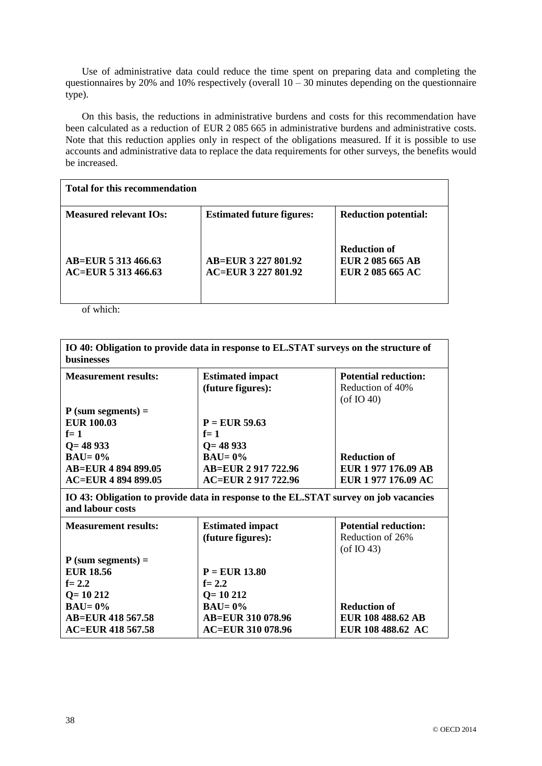Use of administrative data could reduce the time spent on preparing data and completing the questionnaires by 20% and 10% respectively (overall  $10 - 30$  minutes depending on the questionnaire type).

On this basis, the reductions in administrative burdens and costs for this recommendation have been calculated as a reduction of EUR 2 085 665 in administrative burdens and administrative costs. Note that this reduction applies only in respect of the obligations measured. If it is possible to use accounts and administrative data to replace the data requirements for other surveys, the benefits would be increased.

| <b>Total for this recommendation</b>         |                                                   |                                                             |  |  |
|----------------------------------------------|---------------------------------------------------|-------------------------------------------------------------|--|--|
| Measured relevant IOs:                       | <b>Estimated future figures:</b>                  | <b>Reduction potential:</b>                                 |  |  |
| AB=EUR 5 313 466.63<br>$AC=EUR$ 5 313 466.63 | AB=EUR 3 227 801.92<br><b>AC=EUR 3 227 801.92</b> | <b>Reduction of</b><br>EUR 2 085 665 AB<br>EUR 2 085 665 AC |  |  |

of which:

| <b>businesses</b>           | IO 40: Obligation to provide data in response to EL.STAT surveys on the structure of |                                                                     |
|-----------------------------|--------------------------------------------------------------------------------------|---------------------------------------------------------------------|
| <b>Measurement results:</b> | <b>Estimated impact</b><br>(future figures):                                         | <b>Potential reduction:</b><br>Reduction of 40%<br>$($ of IO 40 $)$ |
| $P$ (sum segments) =        |                                                                                      |                                                                     |
| <b>EUR 100.03</b>           | $P = EUR 59.63$                                                                      |                                                                     |
| $f=1$                       | $f=1$                                                                                |                                                                     |
| $Q = 48933$                 | $Q = 48933$                                                                          |                                                                     |
| $BAU=0%$                    | $BAU=0\%$                                                                            | <b>Reduction of</b>                                                 |
| AB=EUR 4 894 899.05         | <b>AB=EUR 2 917 722.96</b>                                                           | EUR 1 977 176.09 AB                                                 |
| <b>AC=EUR 4 894 899.05</b>  | <b>AC=EUR 2 917 722.96</b>                                                           | EUR 1 977 176.09 AC                                                 |
| and labour costs            | IO 43: Obligation to provide data in response to the EL.STAT survey on job vacancies |                                                                     |
| <b>Measurement results:</b> | <b>Estimated impact</b>                                                              | <b>Potential reduction:</b>                                         |
|                             | (future figures):                                                                    | Reduction of 26%<br>$($ of IO 43 $)$                                |
| $P$ (sum segments) =        |                                                                                      |                                                                     |
| <b>EUR 18.56</b>            | $P = EUR 13.80$                                                                      |                                                                     |
| $f = 2.2$                   | $f = 2.2$                                                                            |                                                                     |
| $Q = 10212$                 | $Q = 10212$                                                                          |                                                                     |
| $BAU=0%$                    | $BAU=0%$                                                                             | <b>Reduction of</b>                                                 |
| <b>AB=EUR 418 567.58</b>    | <b>AB=EUR 310 078.96</b>                                                             | EUR 108 488.62 AB                                                   |
| <b>AC=EUR 418 567.58</b>    | <b>AC=EUR 310 078.96</b>                                                             | EUR 108 488.62 AC                                                   |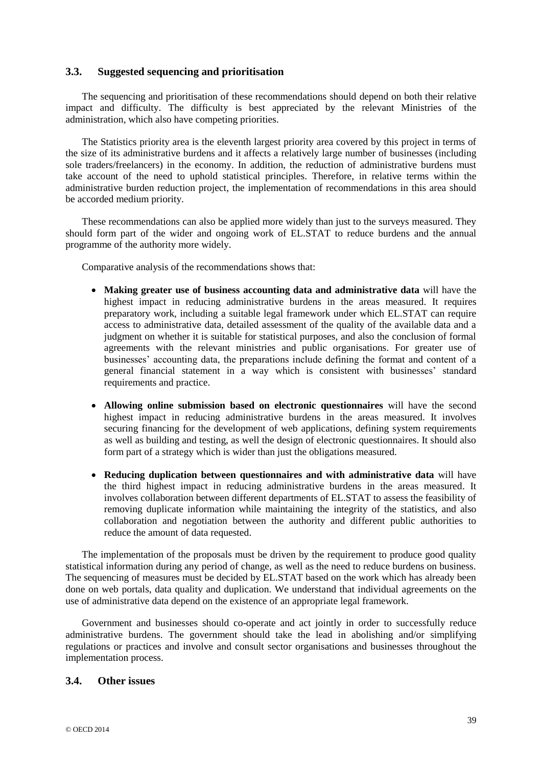### <span id="page-38-0"></span>**3.3. Suggested sequencing and prioritisation**

The sequencing and prioritisation of these recommendations should depend on both their relative impact and difficulty. The difficulty is best appreciated by the relevant Ministries of the administration, which also have competing priorities.

The Statistics priority area is the eleventh largest priority area covered by this project in terms of the size of its administrative burdens and it affects a relatively large number of businesses (including sole traders/freelancers) in the economy. In addition, the reduction of administrative burdens must take account of the need to uphold statistical principles. Therefore, in relative terms within the administrative burden reduction project, the implementation of recommendations in this area should be accorded medium priority.

These recommendations can also be applied more widely than just to the surveys measured. They should form part of the wider and ongoing work of EL.STAT to reduce burdens and the annual programme of the authority more widely.

Comparative analysis of the recommendations shows that:

- **Making greater use of business accounting data and administrative data** will have the highest impact in reducing administrative burdens in the areas measured. It requires preparatory work, including a suitable legal framework under which EL.STAT can require access to administrative data, detailed assessment of the quality of the available data and a judgment on whether it is suitable for statistical purposes, and also the conclusion of formal agreements with the relevant ministries and public organisations. For greater use of businesses' accounting data, the preparations include defining the format and content of a general financial statement in a way which is consistent with businesses' standard requirements and practice.
- **Allowing online submission based on electronic questionnaires** will have the second highest impact in reducing administrative burdens in the areas measured. It involves securing financing for the development of web applications, defining system requirements as well as building and testing, as well the design of electronic questionnaires. It should also form part of a strategy which is wider than just the obligations measured.
- **Reducing duplication between questionnaires and with administrative data** will have the third highest impact in reducing administrative burdens in the areas measured. It involves collaboration between different departments of EL.STAT to assess the feasibility of removing duplicate information while maintaining the integrity of the statistics, and also collaboration and negotiation between the authority and different public authorities to reduce the amount of data requested.

The implementation of the proposals must be driven by the requirement to produce good quality statistical information during any period of change, as well as the need to reduce burdens on business. The sequencing of measures must be decided by EL.STAT based on the work which has already been done on web portals, data quality and duplication. We understand that individual agreements on the use of administrative data depend on the existence of an appropriate legal framework.

Government and businesses should co-operate and act jointly in order to successfully reduce administrative burdens. The government should take the lead in abolishing and/or simplifying regulations or practices and involve and consult sector organisations and businesses throughout the implementation process.

### <span id="page-38-1"></span>**3.4. Other issues**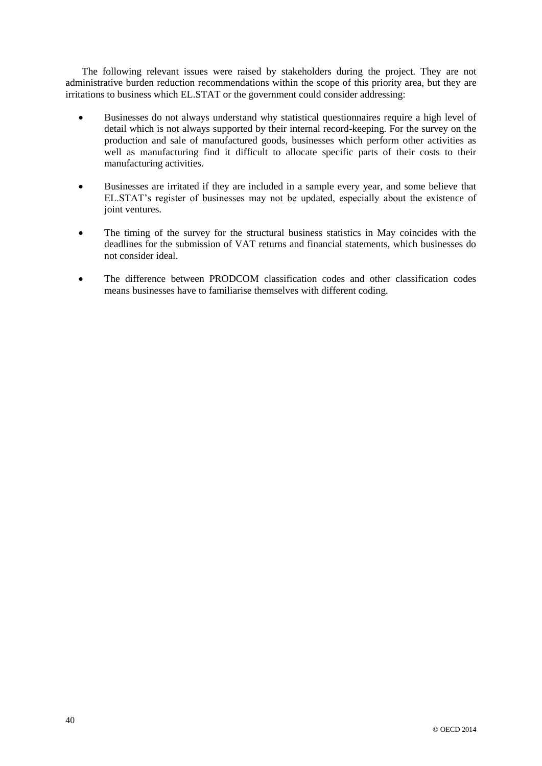The following relevant issues were raised by stakeholders during the project. They are not administrative burden reduction recommendations within the scope of this priority area, but they are irritations to business which EL.STAT or the government could consider addressing:

- Businesses do not always understand why statistical questionnaires require a high level of detail which is not always supported by their internal record-keeping. For the survey on the production and sale of manufactured goods, businesses which perform other activities as well as manufacturing find it difficult to allocate specific parts of their costs to their manufacturing activities.
- Businesses are irritated if they are included in a sample every year, and some believe that EL.STAT's register of businesses may not be updated, especially about the existence of joint ventures.
- The timing of the survey for the structural business statistics in May coincides with the deadlines for the submission of VAT returns and financial statements, which businesses do not consider ideal.
- The difference between PRODCOM classification codes and other classification codes means businesses have to familiarise themselves with different coding.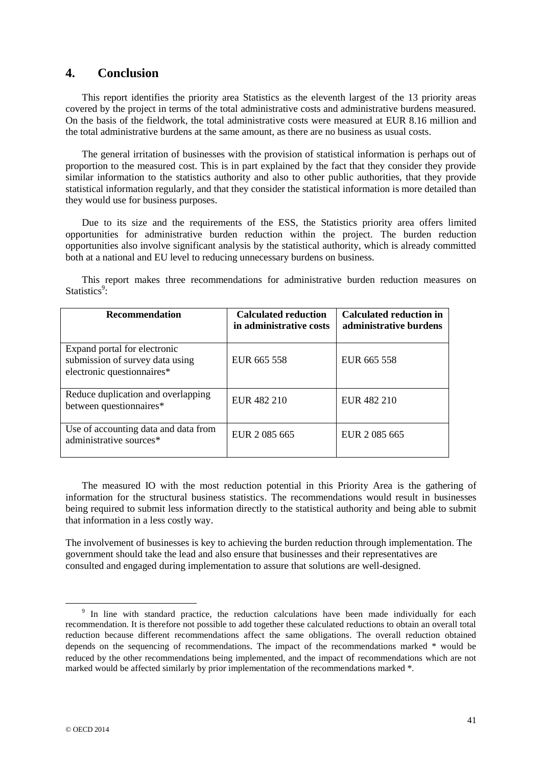### <span id="page-40-0"></span>**4. Conclusion**

This report identifies the priority area Statistics as the eleventh largest of the 13 priority areas covered by the project in terms of the total administrative costs and administrative burdens measured. On the basis of the fieldwork, the total administrative costs were measured at EUR 8.16 million and the total administrative burdens at the same amount, as there are no business as usual costs.

The general irritation of businesses with the provision of statistical information is perhaps out of proportion to the measured cost. This is in part explained by the fact that they consider they provide similar information to the statistics authority and also to other public authorities, that they provide statistical information regularly, and that they consider the statistical information is more detailed than they would use for business purposes.

Due to its size and the requirements of the ESS, the Statistics priority area offers limited opportunities for administrative burden reduction within the project. The burden reduction opportunities also involve significant analysis by the statistical authority, which is already committed both at a national and EU level to reducing unnecessary burdens on business.

This report makes three recommendations for administrative burden reduction measures on Statistics<sup>9</sup>:

| Recommendation                                                                                | <b>Calculated reduction</b><br>in administrative costs | <b>Calculated reduction in</b><br>administrative burdens |
|-----------------------------------------------------------------------------------------------|--------------------------------------------------------|----------------------------------------------------------|
| Expand portal for electronic<br>submission of survey data using<br>electronic questionnaires* | EUR 665 558                                            | EUR 665 558                                              |
| Reduce duplication and overlapping<br>between questionnaires*                                 | EUR 482 210                                            | EUR 482 210                                              |
| Use of accounting data and data from<br>administrative sources*                               | EUR 2 085 665                                          | EUR 2 085 665                                            |

The measured IO with the most reduction potential in this Priority Area is the gathering of information for the structural business statistics. The recommendations would result in businesses being required to submit less information directly to the statistical authority and being able to submit that information in a less costly way.

The involvement of businesses is key to achieving the burden reduction through implementation. The government should take the lead and also ensure that businesses and their representatives are consulted and engaged during implementation to assure that solutions are well-designed.

1

<sup>&</sup>lt;sup>9</sup> In line with standard practice, the reduction calculations have been made individually for each recommendation. It is therefore not possible to add together these calculated reductions to obtain an overall total reduction because different recommendations affect the same obligations. The overall reduction obtained depends on the sequencing of recommendations. The impact of the recommendations marked \* would be reduced by the other recommendations being implemented, and the impact of recommendations which are not marked would be affected similarly by prior implementation of the recommendations marked \*.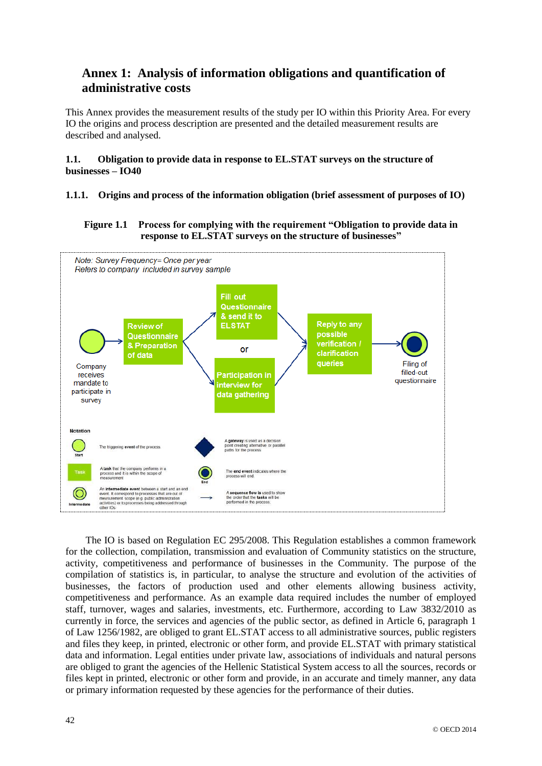# <span id="page-41-0"></span>**1. Annex 1: Analysis of information obligations and quantification of administrative costs**

This Annex provides the measurement results of the study per IO within this Priority Area. For every IO the origins and process description are presented and the detailed measurement results are described and analysed.

### **1.1. Obligation to provide data in response to EL.STAT surveys on the structure of businesses – IO40**

### **1.1.1. Origins and process of the information obligation (brief assessment of purposes of IO)**





The IO is based on Regulation EC 295/2008. This Regulation establishes a common framework for the collection, compilation, transmission and evaluation of Community statistics on the structure, activity, competitiveness and performance of businesses in the Community. The purpose of the compilation of statistics is, in particular, to analyse the structure and evolution of the activities of businesses, the factors of production used and other elements allowing business activity, competitiveness and performance. As an example data required includes the number of employed staff, turnover, wages and salaries, investments, etc. Furthermore, according to Law 3832/2010 as currently in force, the services and agencies of the public sector, as defined in Article 6, paragraph 1 of Law 1256/1982, are obliged to grant EL.STAT access to all administrative sources, public registers and files they keep, in printed, electronic or other form, and provide EL.STAT with primary statistical data and information. Legal entities under private law, associations of individuals and natural persons are obliged to grant the agencies of the Hellenic Statistical System access to all the sources, records or files kept in printed, electronic or other form and provide, in an accurate and timely manner, any data or primary information requested by these agencies for the performance of their duties.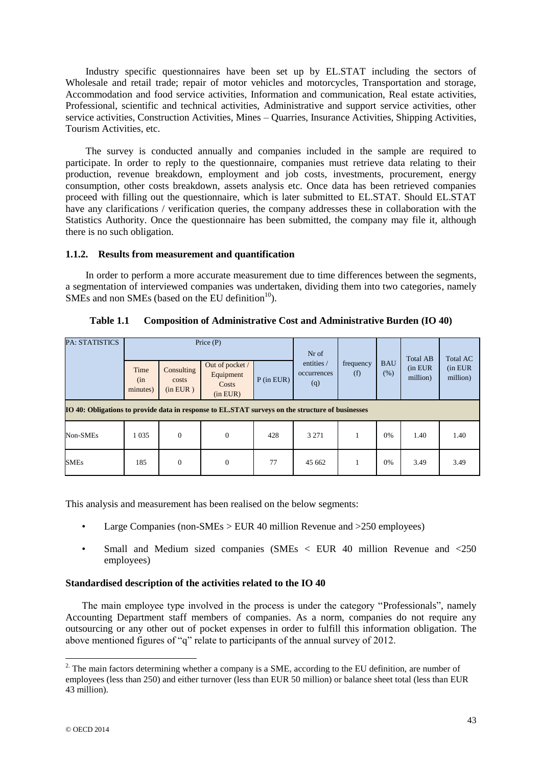Industry specific questionnaires have been set up by EL.STAT including the sectors of Wholesale and retail trade; repair of motor vehicles and motorcycles, Transportation and storage, Accommodation and food service activities, Information and communication, Real estate activities, Professional, scientific and technical activities, Administrative and support service activities, other service activities, Construction Activities, Mines – Quarries, Insurance Activities, Shipping Activities, Tourism Activities, etc.

The survey is conducted annually and companies included in the sample are required to participate. In order to reply to the questionnaire, companies must retrieve data relating to their production, revenue breakdown, employment and job costs, investments, procurement, energy consumption, other costs breakdown, assets analysis etc. Once data has been retrieved companies proceed with filling out the questionnaire, which is later submitted to EL.STAT. Should EL.STAT have any clarifications / verification queries, the company addresses these in collaboration with the Statistics Authority. Once the questionnaire has been submitted, the company may file it, although there is no such obligation.

### **1.1.2. Results from measurement and quantification**

In order to perform a more accurate measurement due to time differences between the segments, a segmentation of interviewed companies was undertaken, dividing them into two categories, namely SMEs and non SMEs (based on the EU definition<sup>10</sup>).

| PA: STATISTICS                                                                                   |                          |                                 | Price $(P)$                                       |              | Nr of<br>entities /<br>frequency<br>(f)<br>occurrences<br>(q) | <b>Total AB</b><br><b>BAU</b><br>$(in$ EUR<br>(% )<br>million) | <b>Total AC</b> |                       |      |
|--------------------------------------------------------------------------------------------------|--------------------------|---------------------------------|---------------------------------------------------|--------------|---------------------------------------------------------------|----------------------------------------------------------------|-----------------|-----------------------|------|
|                                                                                                  | Time<br>(in)<br>minutes) | Consulting<br>costs<br>(in EUR) | Out of pocket /<br>Equipment<br>Costs<br>(in EUR) | $P$ (in EUR) |                                                               |                                                                |                 | $(in$ EUR<br>million) |      |
| IO 40: Obligations to provide data in response to EL.STAT surveys on the structure of businesses |                          |                                 |                                                   |              |                                                               |                                                                |                 |                       |      |
| Non-SMEs                                                                                         | 1 0 3 5                  | $\theta$                        | $\mathbf{0}$                                      | 428          | 3 2 7 1                                                       |                                                                | $0\%$           | 1.40                  | 1.40 |
| <b>SMEs</b>                                                                                      | 185                      | $\theta$                        | $\mathbf{0}$                                      | 77           | 45 662                                                        |                                                                | $0\%$           | 3.49                  | 3.49 |

**Table 1.1 Composition of Administrative Cost and Administrative Burden (IO 40)**

This analysis and measurement has been realised on the below segments:

- Large Companies (non-SMEs  $>$  EUR 40 million Revenue and  $>$ 250 employees)
- Small and Medium sized companies (SMEs < EUR 40 million Revenue and <250 employees)

### **Standardised description of the activities related to the IO 40**

The main employee type involved in the process is under the category "Professionals", namely Accounting Department staff members of companies. As a norm, companies do not require any outsourcing or any other out of pocket expenses in order to fulfill this information obligation. The above mentioned figures of "q" relate to participants of the annual survey of 2012.

<u>.</u>

<sup>&</sup>lt;sup>2</sup>. The main factors determining whether a company is a SME, according to the EU definition, are number of employees (less than 250) and either turnover (less than EUR 50 million) or balance sheet total (less than EUR 43 million).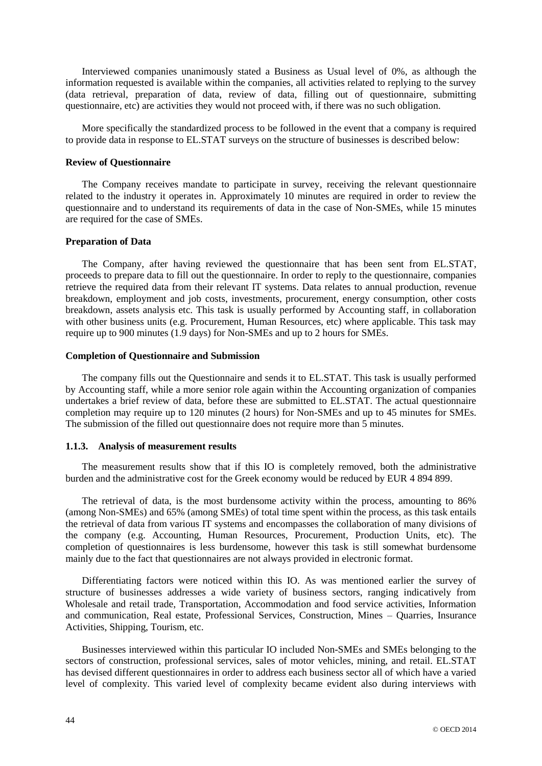Interviewed companies unanimously stated a Business as Usual level of 0%, as although the information requested is available within the companies, all activities related to replying to the survey (data retrieval, preparation of data, review of data, filling out of questionnaire, submitting questionnaire, etc) are activities they would not proceed with, if there was no such obligation.

More specifically the standardized process to be followed in the event that a company is required to provide data in response to EL.STAT surveys on the structure of businesses is described below:

#### **Review of Questionnaire**

The Company receives mandate to participate in survey, receiving the relevant questionnaire related to the industry it operates in. Approximately 10 minutes are required in order to review the questionnaire and to understand its requirements of data in the case of Non-SMEs, while 15 minutes are required for the case of SMEs.

#### **Preparation of Data**

The Company, after having reviewed the questionnaire that has been sent from EL.STAT, proceeds to prepare data to fill out the questionnaire. In order to reply to the questionnaire, companies retrieve the required data from their relevant IT systems. Data relates to annual production, revenue breakdown, employment and job costs, investments, procurement, energy consumption, other costs breakdown, assets analysis etc. This task is usually performed by Accounting staff, in collaboration with other business units (e.g. Procurement, Human Resources, etc) where applicable. This task may require up to 900 minutes (1.9 days) for Non-SMEs and up to 2 hours for SMEs.

### **Completion of Questionnaire and Submission**

The company fills out the Questionnaire and sends it to EL.STAT. This task is usually performed by Accounting staff, while a more senior role again within the Accounting organization of companies undertakes a brief review of data, before these are submitted to EL.STAT. The actual questionnaire completion may require up to 120 minutes (2 hours) for Non-SMEs and up to 45 minutes for SMEs. The submission of the filled out questionnaire does not require more than 5 minutes.

#### **1.1.3. Analysis of measurement results**

The measurement results show that if this IO is completely removed, both the administrative burden and the administrative cost for the Greek economy would be reduced by EUR 4 894 899.

The retrieval of data, is the most burdensome activity within the process, amounting to 86% (among Non-SMEs) and 65% (among SMEs) of total time spent within the process, as this task entails the retrieval of data from various IT systems and encompasses the collaboration of many divisions of the company (e.g. Accounting, Human Resources, Procurement, Production Units, etc). The completion of questionnaires is less burdensome, however this task is still somewhat burdensome mainly due to the fact that questionnaires are not always provided in electronic format.

Differentiating factors were noticed within this IO. As was mentioned earlier the survey of structure of businesses addresses a wide variety of business sectors, ranging indicatively from Wholesale and retail trade, Transportation, Accommodation and food service activities, Information and communication, Real estate, Professional Services, Construction, Mines – Quarries, Insurance Activities, Shipping, Tourism, etc.

Businesses interviewed within this particular IO included Non-SMEs and SMEs belonging to the sectors of construction, professional services, sales of motor vehicles, mining, and retail. EL.STAT has devised different questionnaires in order to address each business sector all of which have a varied level of complexity. This varied level of complexity became evident also during interviews with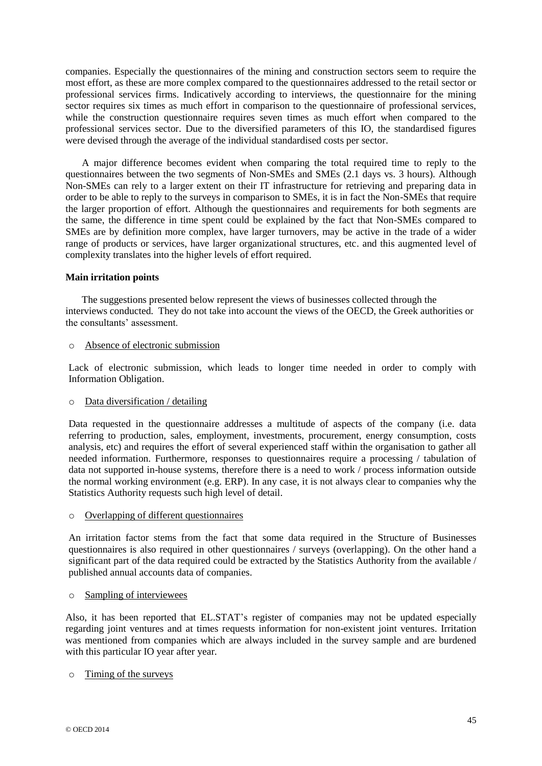companies. Especially the questionnaires of the mining and construction sectors seem to require the most effort, as these are more complex compared to the questionnaires addressed to the retail sector or professional services firms. Indicatively according to interviews, the questionnaire for the mining sector requires six times as much effort in comparison to the questionnaire of professional services, while the construction questionnaire requires seven times as much effort when compared to the professional services sector. Due to the diversified parameters of this IO, the standardised figures were devised through the average of the individual standardised costs per sector.

A major difference becomes evident when comparing the total required time to reply to the questionnaires between the two segments of Non-SMEs and SMEs (2.1 days vs. 3 hours). Although Non-SMEs can rely to a larger extent on their IT infrastructure for retrieving and preparing data in order to be able to reply to the surveys in comparison to SMEs, it is in fact the Non-SMEs that require the larger proportion of effort. Although the questionnaires and requirements for both segments are the same, the difference in time spent could be explained by the fact that Non-SMEs compared to SMEs are by definition more complex, have larger turnovers, may be active in the trade of a wider range of products or services, have larger organizational structures, etc. and this augmented level of complexity translates into the higher levels of effort required.

### **Main irritation points**

The suggestions presented below represent the views of businesses collected through the interviews conducted. They do not take into account the views of the OECD, the Greek authorities or the consultants' assessment.

#### o Absence of electronic submission

Lack of electronic submission, which leads to longer time needed in order to comply with Information Obligation.

#### o Data diversification / detailing

Data requested in the questionnaire addresses a multitude of aspects of the company (i.e. data referring to production, sales, employment, investments, procurement, energy consumption, costs analysis, etc) and requires the effort of several experienced staff within the organisation to gather all needed information. Furthermore, responses to questionnaires require a processing / tabulation of data not supported in-house systems, therefore there is a need to work / process information outside the normal working environment (e.g. ERP). In any case, it is not always clear to companies why the Statistics Authority requests such high level of detail.

#### o Overlapping of different questionnaires

An irritation factor stems from the fact that some data required in the Structure of Businesses questionnaires is also required in other questionnaires / surveys (overlapping). On the other hand a significant part of the data required could be extracted by the Statistics Authority from the available / published annual accounts data of companies.

### o Sampling of interviewees

Also, it has been reported that EL.STAT's register of companies may not be updated especially regarding joint ventures and at times requests information for non-existent joint ventures. Irritation was mentioned from companies which are always included in the survey sample and are burdened with this particular IO year after year.

### o Timing of the surveys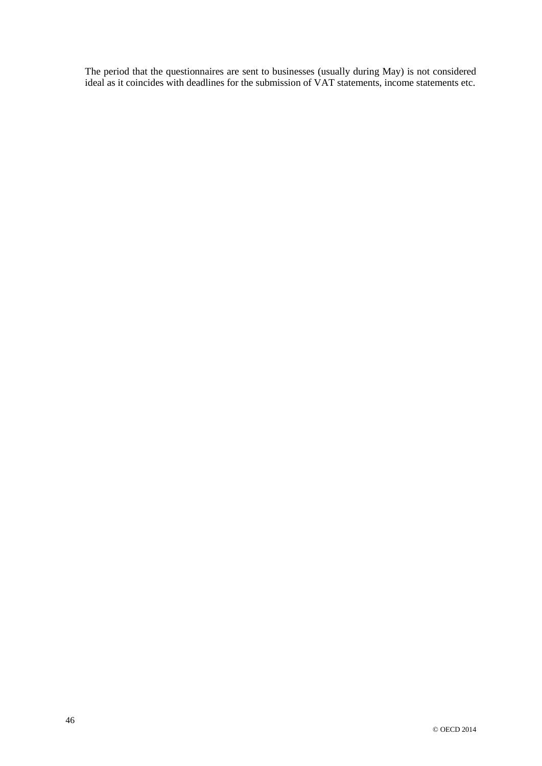The period that the questionnaires are sent to businesses (usually during May) is not considered ideal as it coincides with deadlines for the submission of VAT statements, income statements etc.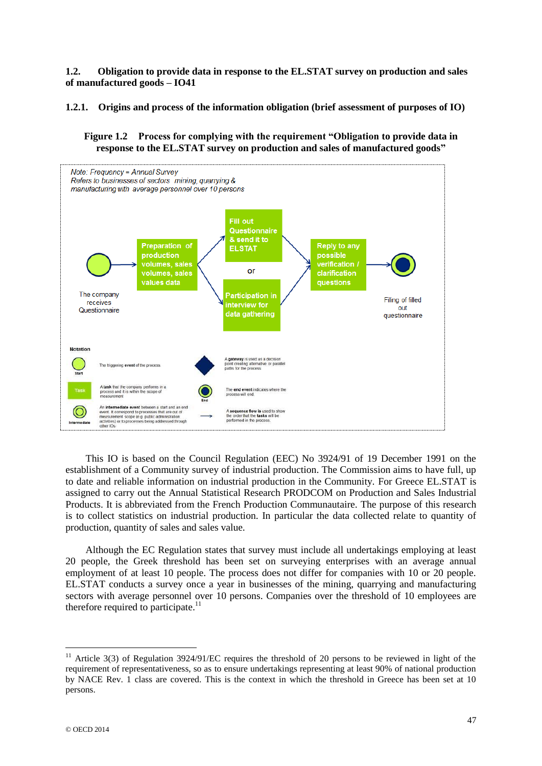**1.2. Obligation to provide data in response to the EL.STAT survey on production and sales of manufactured goods – IO41**

**1.2.1. Origins and process of the information obligation (brief assessment of purposes of IO)**

**Figure 1.2 Process for complying with the requirement "Obligation to provide data in response to the EL.STAT survey on production and sales of manufactured goods"**



This IO is based on the Council Regulation (EEC) No 3924/91 of 19 December 1991 on the establishment of a Community survey of industrial production. The Commission aims to have full, up to date and reliable information on industrial production in the Community. For Greece EL.STAT is assigned to carry out the Annual Statistical Research PRODCOM on Production and Sales Industrial Products. It is abbreviated from the French Production Communautaire. The purpose of this research is to collect statistics on industrial production. In particular the data collected relate to quantity of production, quantity of sales and sales value.

Although the EC Regulation states that survey must include all undertakings employing at least 20 people, the Greek threshold has been set on surveying enterprises with an average annual employment of at least 10 people. The process does not differ for companies with 10 or 20 people. EL.STAT conducts a survey once a year in businesses of the mining, quarrying and manufacturing sectors with average personnel over 10 persons. Companies over the threshold of 10 employees are therefore required to participate.<sup>11</sup>

1

<sup>&</sup>lt;sup>11</sup> Article 3(3) of Regulation 3924/91/EC requires the threshold of 20 persons to be reviewed in light of the requirement of representativeness, so as to ensure undertakings representing at least 90% of national production by NACE Rev. 1 class are covered. This is the context in which the threshold in Greece has been set at 10 persons.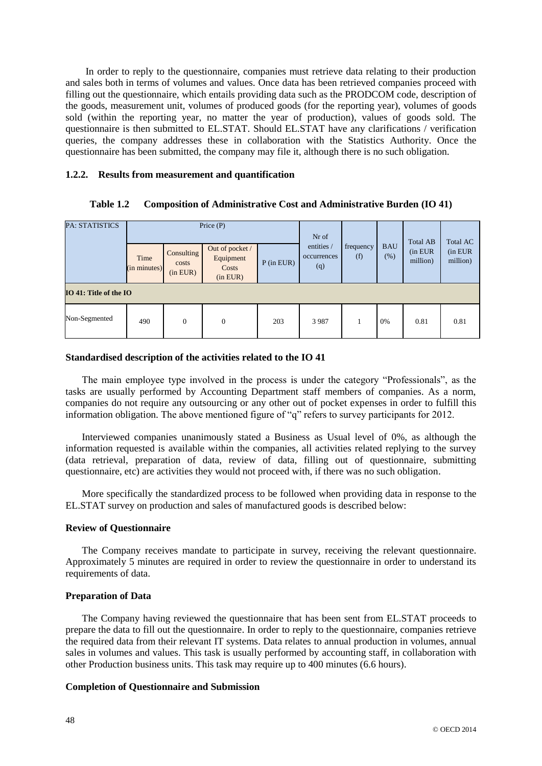In order to reply to the questionnaire, companies must retrieve data relating to their production and sales both in terms of volumes and values. Once data has been retrieved companies proceed with filling out the questionnaire, which entails providing data such as the PRODCOM code, description of the goods, measurement unit, volumes of produced goods (for the reporting year), volumes of goods sold (within the reporting year, no matter the year of production), values of goods sold. The questionnaire is then submitted to EL.STAT. Should EL.STAT have any clarifications / verification queries, the company addresses these in collaboration with the Statistics Authority. Once the questionnaire has been submitted, the company may file it, although there is no such obligation.

### **1.2.2. Results from measurement and quantification**

| PA: STATISTICS         | Price $(P)$          |                                        |                                                   |              | Nr of                            |                  |                    | <b>Total AB</b>       | Total AC            |
|------------------------|----------------------|----------------------------------------|---------------------------------------------------|--------------|----------------------------------|------------------|--------------------|-----------------------|---------------------|
|                        | Time<br>(in minutes) | <b>Consulting</b><br>costs<br>(in EUR) | Out of pocket /<br>Equipment<br>Costs<br>(in EUR) | $P$ (in EUR) | entities /<br>occurrences<br>(q) | frequency<br>(f) | <b>BAU</b><br>(% ) | $(in$ EUR<br>million) | (in EUR<br>million) |
| IO 41: Title of the IO |                      |                                        |                                                   |              |                                  |                  |                    |                       |                     |
| Non-Segmented          | 490                  | $\overline{0}$                         | $\mathbf{0}$                                      | 203          | 3987                             |                  | 0%                 | 0.81                  | 0.81                |

**Table 1.2 Composition of Administrative Cost and Administrative Burden (IO 41)**

### **Standardised description of the activities related to the IO 41**

The main employee type involved in the process is under the category "Professionals", as the tasks are usually performed by Accounting Department staff members of companies. As a norm, companies do not require any outsourcing or any other out of pocket expenses in order to fulfill this information obligation. The above mentioned figure of "q" refers to survey participants for 2012.

Interviewed companies unanimously stated a Business as Usual level of 0%, as although the information requested is available within the companies, all activities related replying to the survey (data retrieval, preparation of data, review of data, filling out of questionnaire, submitting questionnaire, etc) are activities they would not proceed with, if there was no such obligation.

More specifically the standardized process to be followed when providing data in response to the EL.STAT survey on production and sales of manufactured goods is described below:

#### **Review of Questionnaire**

The Company receives mandate to participate in survey, receiving the relevant questionnaire. Approximately 5 minutes are required in order to review the questionnaire in order to understand its requirements of data.

#### **Preparation of Data**

The Company having reviewed the questionnaire that has been sent from EL.STAT proceeds to prepare the data to fill out the questionnaire. In order to reply to the questionnaire, companies retrieve the required data from their relevant IT systems. Data relates to annual production in volumes, annual sales in volumes and values. This task is usually performed by accounting staff, in collaboration with other Production business units. This task may require up to 400 minutes (6.6 hours).

### **Completion of Questionnaire and Submission**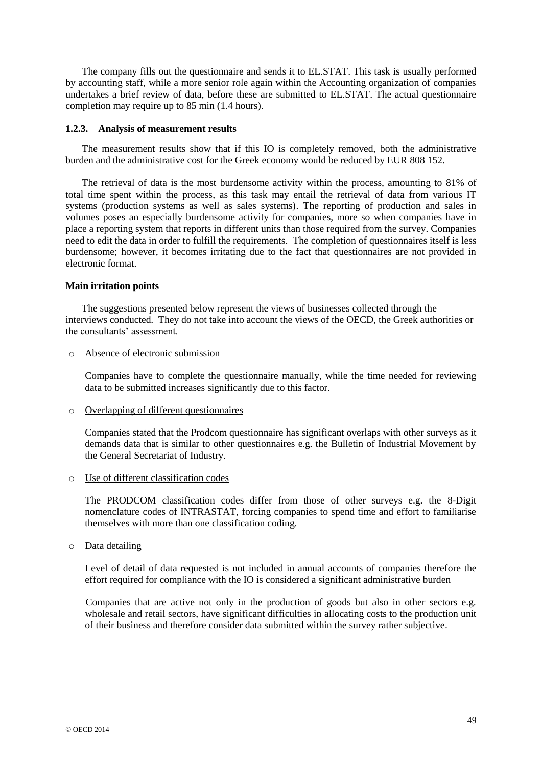The company fills out the questionnaire and sends it to EL.STAT. This task is usually performed by accounting staff, while a more senior role again within the Accounting organization of companies undertakes a brief review of data, before these are submitted to EL.STAT. The actual questionnaire completion may require up to 85 min (1.4 hours).

#### **1.2.3. Analysis of measurement results**

The measurement results show that if this IO is completely removed, both the administrative burden and the administrative cost for the Greek economy would be reduced by EUR 808 152.

The retrieval of data is the most burdensome activity within the process, amounting to 81% of total time spent within the process, as this task may entail the retrieval of data from various IT systems (production systems as well as sales systems). The reporting of production and sales in volumes poses an especially burdensome activity for companies, more so when companies have in place a reporting system that reports in different units than those required from the survey. Companies need to edit the data in order to fulfill the requirements. The completion of questionnaires itself is less burdensome; however, it becomes irritating due to the fact that questionnaires are not provided in electronic format.

#### **Main irritation points**

The suggestions presented below represent the views of businesses collected through the interviews conducted. They do not take into account the views of the OECD, the Greek authorities or the consultants' assessment.

o Absence of electronic submission

Companies have to complete the questionnaire manually, while the time needed for reviewing data to be submitted increases significantly due to this factor.

#### o Overlapping of different questionnaires

Companies stated that the Prodcom questionnaire has significant overlaps with other surveys as it demands data that is similar to other questionnaires e.g. the Bulletin of Industrial Movement by the General Secretariat of Industry.

#### o Use of different classification codes

The PRODCOM classification codes differ from those of other surveys e.g. the 8-Digit nomenclature codes of INTRASTAT, forcing companies to spend time and effort to familiarise themselves with more than one classification coding.

#### o Data detailing

Level of detail of data requested is not included in annual accounts of companies therefore the effort required for compliance with the IO is considered a significant administrative burden

Companies that are active not only in the production of goods but also in other sectors e.g. wholesale and retail sectors, have significant difficulties in allocating costs to the production unit of their business and therefore consider data submitted within the survey rather subjective.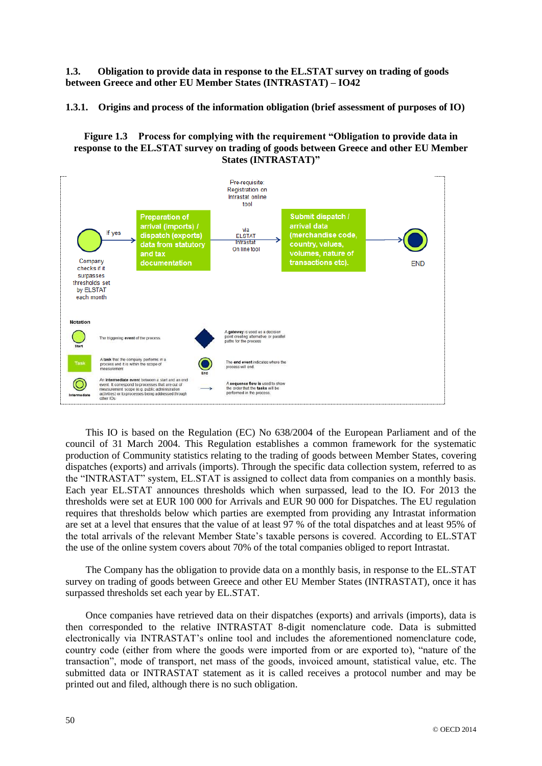**1.3. Obligation to provide data in response to the EL.STAT survey on trading of goods between Greece and other EU Member States (INTRASTAT) – IO42**

**1.3.1. Origins and process of the information obligation (brief assessment of purposes of IO)**

**Figure 1.3 Process for complying with the requirement "Obligation to provide data in response to the EL.STAT survey on trading of goods between Greece and other EU Member States (INTRASTAT)"**



This IO is based on the Regulation (EC) No 638/2004 of the European Parliament and of the council of 31 March 2004. This Regulation establishes a common framework for the systematic production of Community statistics relating to the trading of goods between Member States, covering dispatches (exports) and arrivals (imports). Through the specific data collection system, referred to as the "INTRASTAT" system, EL.STAT is assigned to collect data from companies on a monthly basis. Each year EL.STAT announces thresholds which when surpassed, lead to the IO. For 2013 the thresholds were set at EUR 100 000 for Arrivals and EUR 90 000 for Dispatches. The EU regulation requires that thresholds below which parties are exempted from providing any Intrastat information are set at a level that ensures that the value of at least 97 % of the total dispatches and at least 95% of the total arrivals of the relevant Member State's taxable persons is covered. According to EL.STAT the use of the online system covers about 70% of the total companies obliged to report Intrastat.

The Company has the obligation to provide data on a monthly basis, in response to the EL.STAT survey on trading of goods between Greece and other EU Member States (INTRASTAT), once it has surpassed thresholds set each year by EL.STAT.

Once companies have retrieved data on their dispatches (exports) and arrivals (imports), data is then corresponded to the relative INTRASTAT 8-digit nomenclature code. Data is submitted electronically via INTRASTAT's online tool and includes the aforementioned nomenclature code, country code (either from where the goods were imported from or are exported to), "nature of the transaction", mode of transport, net mass of the goods, invoiced amount, statistical value, etc. The submitted data or INTRASTAT statement as it is called receives a protocol number and may be printed out and filed, although there is no such obligation.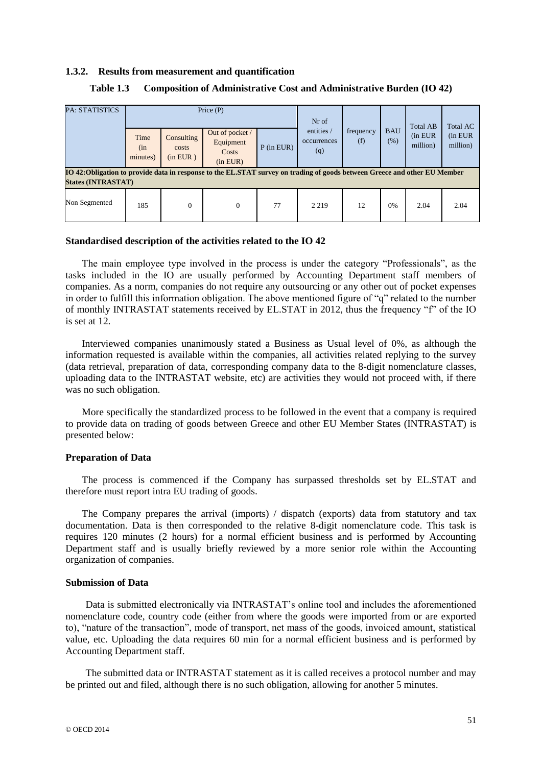#### **1.3.2. Results from measurement and quantification**

| PA: STATISTICS                                                                                                                                        |                          |                                 | Price $(P)$                                       | Nr of        |                                  |                  | <b>Total AB</b>    | <b>Total AC</b>       |                       |
|-------------------------------------------------------------------------------------------------------------------------------------------------------|--------------------------|---------------------------------|---------------------------------------------------|--------------|----------------------------------|------------------|--------------------|-----------------------|-----------------------|
|                                                                                                                                                       | Time<br>(in)<br>minutes) | Consulting<br>costs<br>(in EUR) | Out of pocket /<br>Equipment<br>Costs<br>(in EUR) | $P$ (in EUR) | entities /<br>occurrences<br>(q) | frequency<br>(f) | <b>BAU</b><br>(% ) | $(in$ EUR<br>million) | $(in$ EUR<br>million) |
| IO 42:Obligation to provide data in response to the ELSTAT survey on trading of goods between Greece and other EU Member<br><b>States (INTRASTAT)</b> |                          |                                 |                                                   |              |                                  |                  |                    |                       |                       |
| Non Segmented                                                                                                                                         | 185                      | $\theta$                        | $\Omega$                                          | 77           | 2 2 1 9                          | 12               | 0%                 | 2.04                  | 2.04                  |

### **Table 1.3 Composition of Administrative Cost and Administrative Burden (IO 42)**

#### **Standardised description of the activities related to the IO 42**

The main employee type involved in the process is under the category "Professionals", as the tasks included in the IO are usually performed by Accounting Department staff members of companies. As a norm, companies do not require any outsourcing or any other out of pocket expenses in order to fulfill this information obligation. The above mentioned figure of "q" related to the number of monthly INTRASTAT statements received by EL.STAT in 2012, thus the frequency "f" of the IO is set at 12.

Interviewed companies unanimously stated a Business as Usual level of 0%, as although the information requested is available within the companies, all activities related replying to the survey (data retrieval, preparation of data, corresponding company data to the 8-digit nomenclature classes, uploading data to the INTRASTAT website, etc) are activities they would not proceed with, if there was no such obligation.

More specifically the standardized process to be followed in the event that a company is required to provide data on trading of goods between Greece and other EU Member States (INTRASTAT) is presented below:

### **Preparation of Data**

The process is commenced if the Company has surpassed thresholds set by EL.STAT and therefore must report intra EU trading of goods.

The Company prepares the arrival (imports) / dispatch (exports) data from statutory and tax documentation. Data is then corresponded to the relative 8-digit nomenclature code. This task is requires 120 minutes (2 hours) for a normal efficient business and is performed by Accounting Department staff and is usually briefly reviewed by a more senior role within the Accounting organization of companies.

#### **Submission of Data**

Data is submitted electronically via INTRASTAT's online tool and includes the aforementioned nomenclature code, country code (either from where the goods were imported from or are exported to), "nature of the transaction", mode of transport, net mass of the goods, invoiced amount, statistical value, etc. Uploading the data requires 60 min for a normal efficient business and is performed by Accounting Department staff.

The submitted data or INTRASTAT statement as it is called receives a protocol number and may be printed out and filed, although there is no such obligation, allowing for another 5 minutes.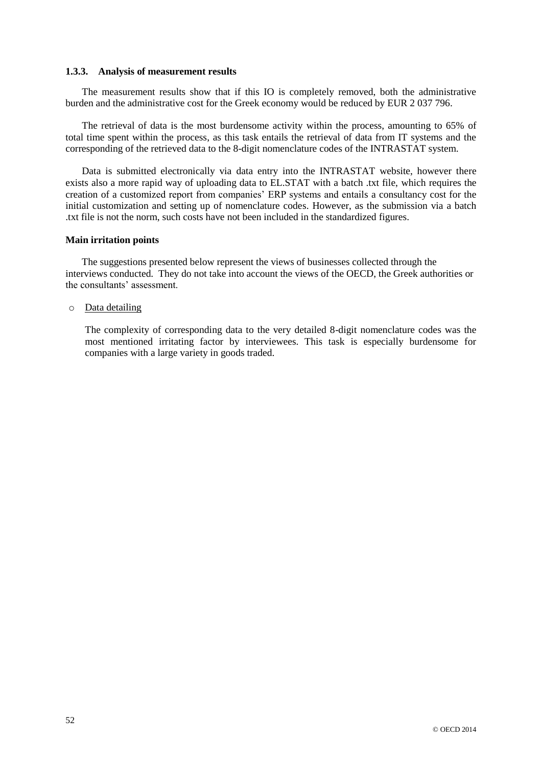#### **1.3.3. Analysis of measurement results**

The measurement results show that if this IO is completely removed, both the administrative burden and the administrative cost for the Greek economy would be reduced by EUR 2 037 796.

The retrieval of data is the most burdensome activity within the process, amounting to 65% of total time spent within the process, as this task entails the retrieval of data from IT systems and the corresponding of the retrieved data to the 8-digit nomenclature codes of the INTRASTAT system.

Data is submitted electronically via data entry into the INTRASTAT website, however there exists also a more rapid way of uploading data to EL.STAT with a batch .txt file, which requires the creation of a customized report from companies' ERP systems and entails a consultancy cost for the initial customization and setting up of nomenclature codes. However, as the submission via a batch .txt file is not the norm, such costs have not been included in the standardized figures.

### **Main irritation points**

The suggestions presented below represent the views of businesses collected through the interviews conducted. They do not take into account the views of the OECD, the Greek authorities or the consultants' assessment.

### o Data detailing

The complexity of corresponding data to the very detailed 8-digit nomenclature codes was the most mentioned irritating factor by interviewees. This task is especially burdensome for companies with a large variety in goods traded.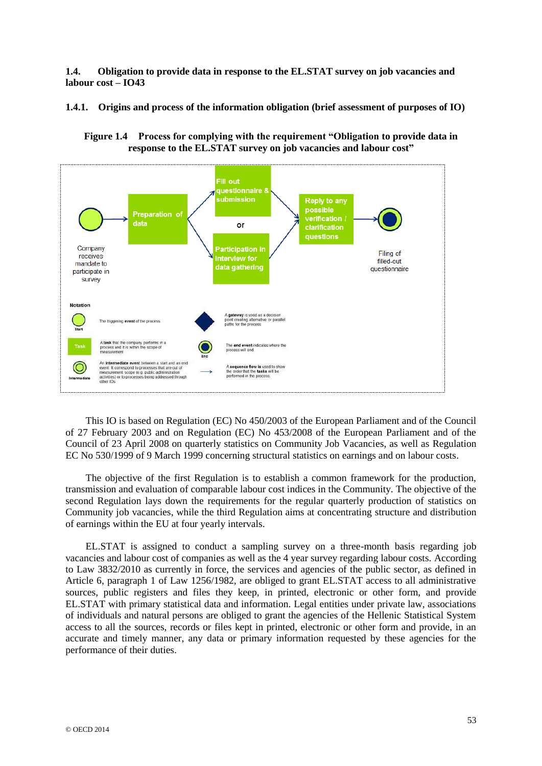**1.4. Obligation to provide data in response to the EL.STAT survey on job vacancies and labour cost – IO43**

**1.4.1. Origins and process of the information obligation (brief assessment of purposes of IO)**



**Figure 1.4 Process for complying with the requirement "Obligation to provide data in response to the EL.STAT survey on job vacancies and labour cost"**

This IO is based on Regulation (EC) No 450/2003 of the European Parliament and of the Council of 27 February 2003 and on Regulation (EC) No 453/2008 of the European Parliament and of the Council of 23 April 2008 on quarterly statistics on Community Job Vacancies, as well as Regulation EC No 530/1999 of 9 March 1999 concerning structural statistics on earnings and on labour costs.

The objective of the first Regulation is to establish a common framework for the production, transmission and evaluation of comparable labour cost indices in the Community. The objective of the second Regulation lays down the requirements for the regular quarterly production of statistics on Community job vacancies, while the third Regulation aims at concentrating structure and distribution of earnings within the EU at four yearly intervals.

EL.STAT is assigned to conduct a sampling survey on a three-month basis regarding job vacancies and labour cost of companies as well as the 4 year survey regarding labour costs. According to Law 3832/2010 as currently in force, the services and agencies of the public sector, as defined in Article 6, paragraph 1 of Law 1256/1982, are obliged to grant EL.STAT access to all administrative sources, public registers and files they keep, in printed, electronic or other form, and provide EL.STAT with primary statistical data and information. Legal entities under private law, associations of individuals and natural persons are obliged to grant the agencies of the Hellenic Statistical System access to all the sources, records or files kept in printed, electronic or other form and provide, in an accurate and timely manner, any data or primary information requested by these agencies for the performance of their duties.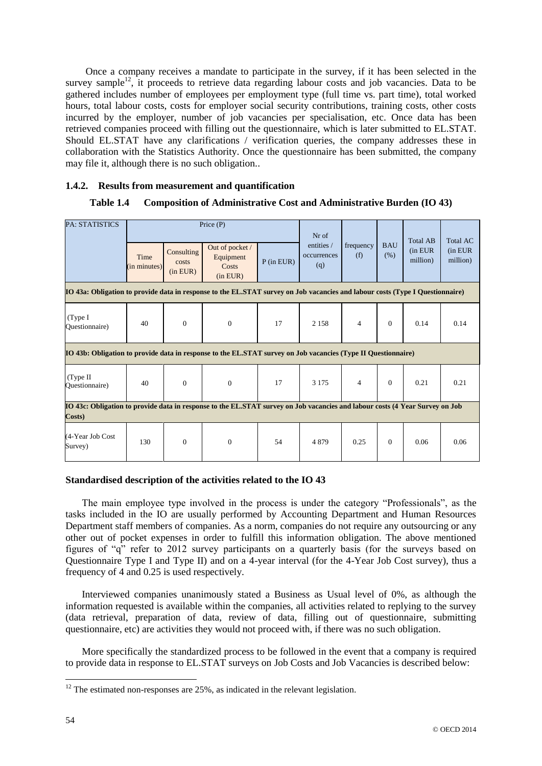Once a company receives a mandate to participate in the survey, if it has been selected in the survey sample<sup>12</sup>, it proceeds to retrieve data regarding labour costs and job vacancies. Data to be gathered includes number of employees per employment type (full time vs. part time), total worked hours, total labour costs, costs for employer social security contributions, training costs, other costs incurred by the employer, number of job vacancies per specialisation, etc. Once data has been retrieved companies proceed with filling out the questionnaire, which is later submitted to EL.STAT. Should EL.STAT have any clarifications / verification queries, the company addresses these in collaboration with the Statistics Authority. Once the questionnaire has been submitted, the company may file it, although there is no such obligation..

### **1.4.2. Results from measurement and quantification**

| PA: STATISTICS                                                                                                                         |                      | Price $(P)$                     | Nr of                                             |              |                                  | <b>Total AB</b>  | <b>Total AC</b>    |                       |                       |
|----------------------------------------------------------------------------------------------------------------------------------------|----------------------|---------------------------------|---------------------------------------------------|--------------|----------------------------------|------------------|--------------------|-----------------------|-----------------------|
|                                                                                                                                        | Time<br>(in minutes) | Consulting<br>costs<br>(in EUR) | Out of pocket /<br>Equipment<br>Costs<br>(in EUR) | $P$ (in EUR) | entities /<br>occurrences<br>(q) | frequency<br>(f) | <b>BAU</b><br>(% ) | $(in$ EUR<br>million) | $(in$ EUR<br>million) |
| [10 43a: Obligation to provide data in response to the EL.STAT survey on Job vacancies and labour costs (Type I Questionnaire)         |                      |                                 |                                                   |              |                                  |                  |                    |                       |                       |
| (Type I)<br>Questionnaire)                                                                                                             | 40                   | $\theta$                        | $\theta$                                          | 17           | 2 1 5 8                          | $\overline{4}$   | $\mathbf{0}$       | 0.14                  | 0.14                  |
| [10 43b: Obligation to provide data in response to the EL.STAT survey on Job vacancies (Type II Questionnaire)                         |                      |                                 |                                                   |              |                                  |                  |                    |                       |                       |
| (Type II)<br>Questionnaire)                                                                                                            | 40                   | $\Omega$                        | $\Omega$                                          | 17           | 3 1 7 5                          | $\overline{4}$   | $\Omega$           | 0.21                  | 0.21                  |
| [O 43c: Obligation to provide data in response to the EL.STAT survey on Job vacancies and labour costs (4 Year Survey on Job<br>Costs) |                      |                                 |                                                   |              |                                  |                  |                    |                       |                       |
| (4-Year Job Cost)<br>Survey)                                                                                                           | 130                  | $\mathbf{0}$                    | $\theta$                                          | 54           | 4879                             | 0.25             | $\Omega$           | 0.06                  | 0.06                  |

### **Table 1.4 Composition of Administrative Cost and Administrative Burden (IO 43)**

#### **Standardised description of the activities related to the IO 43**

The main employee type involved in the process is under the category "Professionals", as the tasks included in the IO are usually performed by Accounting Department and Human Resources Department staff members of companies. As a norm, companies do not require any outsourcing or any other out of pocket expenses in order to fulfill this information obligation. The above mentioned figures of "q" refer to 2012 survey participants on a quarterly basis (for the surveys based on Questionnaire Type I and Type II) and on a 4-year interval (for the 4-Year Job Cost survey), thus a frequency of 4 and 0.25 is used respectively.

Interviewed companies unanimously stated a Business as Usual level of 0%, as although the information requested is available within the companies, all activities related to replying to the survey (data retrieval, preparation of data, review of data, filling out of questionnaire, submitting questionnaire, etc) are activities they would not proceed with, if there was no such obligation.

More specifically the standardized process to be followed in the event that a company is required to provide data in response to EL.STAT surveys on Job Costs and Job Vacancies is described below:

1

 $12$  The estimated non-responses are 25%, as indicated in the relevant legislation.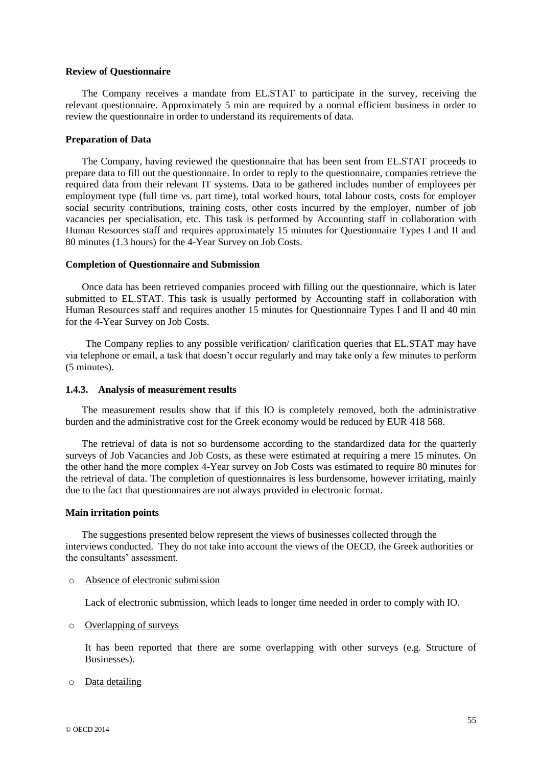#### **Review of Questionnaire**

The Company receives a mandate from EL.STAT to participate in the survey, receiving the relevant questionnaire. Approximately 5 min are required by a normal efficient business in order to review the questionnaire in order to understand its requirements of data.

#### **Preparation of Data**

The Company, having reviewed the questionnaire that has been sent from EL.STAT proceeds to prepare data to fill out the questionnaire. In order to reply to the questionnaire, companies retrieve the required data from their relevant IT systems. Data to be gathered includes number of employees per employment type (full time vs. part time), total worked hours, total labour costs, costs for employer social security contributions, training costs, other costs incurred by the employer, number of job vacancies per specialisation, etc. This task is performed by Accounting staff in collaboration with Human Resources staff and requires approximately 15 minutes for Questionnaire Types I and II and 80 minutes (1.3 hours) for the 4-Year Survey on Job Costs.

### **Completion of Questionnaire and Submission**

Once data has been retrieved companies proceed with filling out the questionnaire, which is later submitted to EL.STAT. This task is usually performed by Accounting staff in collaboration with Human Resources staff and requires another 15 minutes for Questionnaire Types I and II and 40 min for the 4-Year Survey on Job Costs.

The Company replies to any possible verification/ clarification queries that EL.STAT may have via telephone or email, a task that doesn't occur regularly and may take only a few minutes to perform (5 minutes).

#### **1.4.3. Analysis of measurement results**

The measurement results show that if this IO is completely removed, both the administrative burden and the administrative cost for the Greek economy would be reduced by EUR 418 568.

The retrieval of data is not so burdensome according to the standardized data for the quarterly surveys of Job Vacancies and Job Costs, as these were estimated at requiring a mere 15 minutes. On the other hand the more complex 4-Year survey on Job Costs was estimated to require 80 minutes for the retrieval of data. The completion of questionnaires is less burdensome, however irritating, mainly due to the fact that questionnaires are not always provided in electronic format.

#### **Main irritation points**

The suggestions presented below represent the views of businesses collected through the interviews conducted. They do not take into account the views of the OECD, the Greek authorities or the consultants' assessment.

#### o Absence of electronic submission

Lack of electronic submission, which leads to longer time needed in order to comply with IO.

o Overlapping of surveys

It has been reported that there are some overlapping with other surveys (e.g. Structure of Businesses).

#### o Data detailing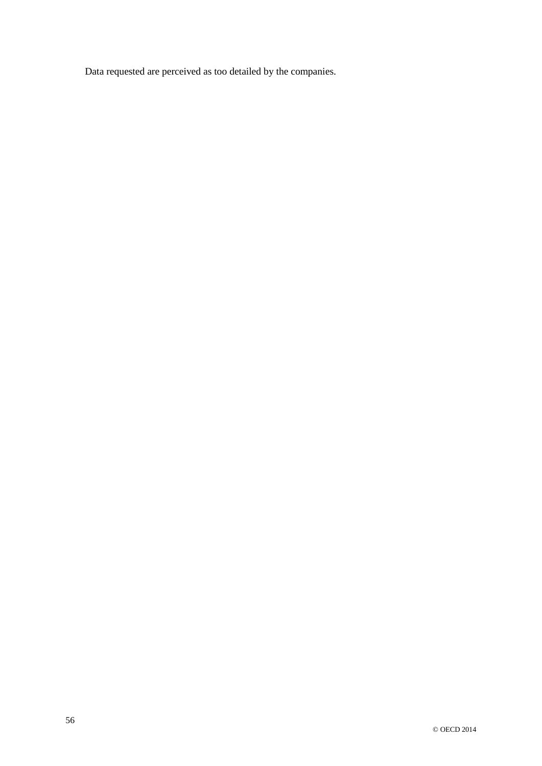Data requested are perceived as too detailed by the companies.